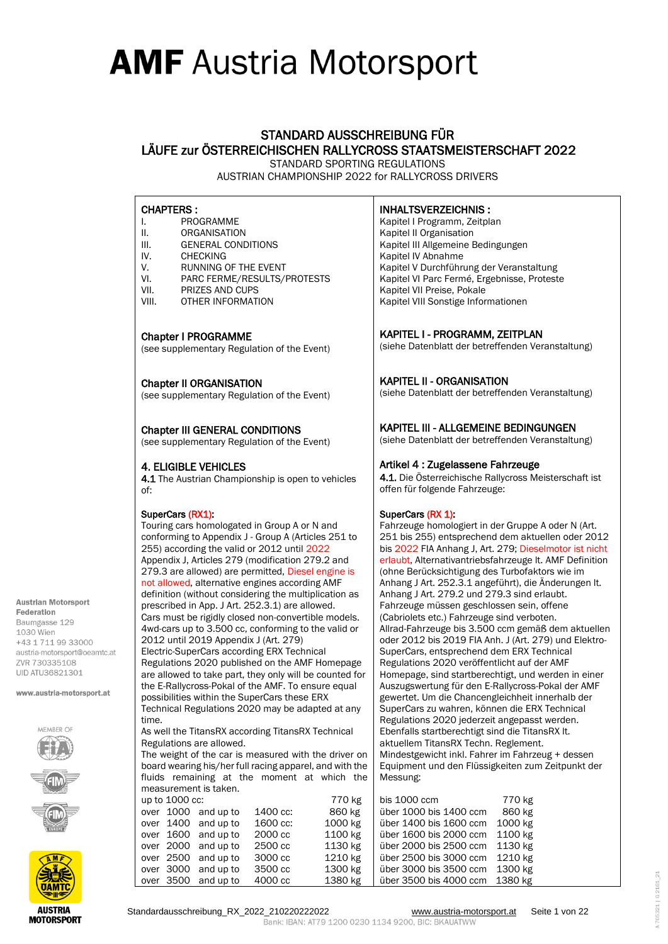### STANDARD AUSSCHREIBUNG FÜR LÄUFE zur ÖSTERREICHISCHEN RALLYCROSS STAATSMEISTERSCHAFT 2022 STANDARD SPORTING REGULATIONS

AUSTRIAN CHAMPIONSHIP 2022 for RALLYCROSS DRIVERS

### CHAPTERS :

- I. PROGRAMME
- II. ORGANISATION
- III. GENERAL CONDITIONS
- IV. CHECKING
- V. RUNNING OF THE EVENT<br>VI. PARC FERME/RESULTS/L
- PARC FERME/RESULTS/PROTESTS
- VII. PRIZES AND CUPS
- VIII. OTHER INFORMATION

#### Chapter I PROGRAMME

(see supplementary Regulation of the Event)

#### Chapter II ORGANISATION

(see supplementary Regulation of the Event)

#### Chapter III GENERAL CONDITIONS

(see supplementary Regulation of the Event)

### 4. ELIGIBLE VEHICLES

4.1 The Austrian Championship is open to vehicles of:

#### SuperCars (RX1):

Touring cars homologated in Group A or N and conforming to Appendix J - Group A (Articles 251 to 255) according the valid or 2012 until 2022 Appendix J, Articles 279 (modification 279.2 and 279.3 are allowed) are permitted, Diesel engine is not allowed, alternative engines according AMF definition (without considering the multiplication as prescribed in App. J Art. 252.3.1) are allowed. Cars must be rigidly closed non-convertible models. 4wd-cars up to 3.500 cc, conforming to the valid or 2012 until 2019 Appendix J (Art. 279) Electric-SuperCars according ERX Technical Regulations 2020 published on the AMF Homepage are allowed to take part, they only will be counted for the E-Rallycross-Pokal of the AMF. To ensure equal possibilities within the SuperCars these ERX Technical Regulations 2020 may be adapted at any time. As well the TitansRX according TitansRX Technical Regulations are allowed.

The weight of the car is measured with the driver on board wearing his/her full racing apparel, and with the fluids remaining at the moment at which the measurement is taken.

|  |                | <u>IIIGASULGIIIGIILIS LANGII.</u> |          |         |               |
|--|----------------|-----------------------------------|----------|---------|---------------|
|  | up to 1000 cc: |                                   |          | 770 kg  | bis 1000 ccm  |
|  |                | over 1000 and up to               | 1400 cc: | 860 kg  | über 1000 bi: |
|  |                | over 1400 and up to               | 1600 cc: | 1000 kg | über 1400 bis |
|  |                | over 1600 and up to               | 2000 cc  | 1100 kg | über 1600 bi: |
|  |                | over 2000 and up to               | 2500 cc  | 1130 kg | über 2000 bi: |
|  |                | over 2500 and up to               | 3000 cc  | 1210 kg | über 2500 bis |
|  |                | over 3000 and up to               | 3500 cc  | 1300 kg | über 3000 bi: |
|  |                | over 3500 and up to               | 4000 cc  | 1380 kg | über 3500 bi  |

Bank: IBAN: AT79 1200 0230 1134 9200, BIC: BKAUATWW

### INHALTSVERZEICHNIS :

Kapitel I Programm, Zeitplan Kapitel II Organisation Kapitel III Allgemeine Bedingungen Kapitel IV Abnahme Kapitel V Durchführung der Veranstaltung Kapitel VI Parc Fermé, Ergebnisse, Proteste Kapitel VII Preise, Pokale Kapitel VIII Sonstige Informationen

### KAPITEL I - PROGRAMM, ZEITPLAN

(siehe Datenblatt der betreffenden Veranstaltung)

### KAPITEL II - ORGANISATION

(siehe Datenblatt der betreffenden Veranstaltung)

### KAPITEL III - ALLGEMEINE BEDINGUNGEN

(siehe Datenblatt der betreffenden Veranstaltung)

### Artikel 4 : Zugelassene Fahrzeuge

4.1. Die Österreichische Rallycross Meisterschaft ist offen für folgende Fahrzeuge:

#### SuperCars (RX 1):

Fahrzeuge homologiert in der Gruppe A oder N (Art. 251 bis 255) entsprechend dem aktuellen oder 2012 bis 2022 FIA Anhang J, Art. 279; Dieselmotor ist nicht erlaubt, Alternativantriebsfahrzeuge lt. AMF Definition (ohne Berücksichtigung des Turbofaktors wie im Anhang J Art. 252.3.1 angeführt), die Änderungen lt. Anhang J Art. 279.2 und 279.3 sind erlaubt. Fahrzeuge müssen geschlossen sein, offene (Cabriolets etc.) Fahrzeuge sind verboten. Allrad-Fahrzeuge bis 3.500 ccm gemäß dem aktuellen oder 2012 bis 2019 FIA Anh. J (Art. 279) und Elektro-SuperCars, entsprechend dem ERX Technical Regulations 2020 veröffentlicht auf der AMF Homepage, sind startberechtigt, und werden in einer Auszugswertung für den E-Rallycross-Pokal der AMF gewertet. Um die Chancengleichheit innerhalb der SuperCars zu wahren, können die ERX Technical Regulations 2020 jederzeit angepasst werden. Ebenfalls startberechtigt sind die TitansRX lt. aktuellem TitansRX Techn. Reglement. Mindestgewicht inkl. Fahrer im Fahrzeug + dessen Equipment und den Flüssigkeiten zum Zeitpunkt der Messung:

| bis 1000 ccm           | 770 kg  |
|------------------------|---------|
| über 1000 bis 1400 ccm | 860 kg  |
| über 1400 bis 1600 ccm | 1000 kg |
| über 1600 bis 2000 ccm | 1100 kg |
| über 2000 bis 2500 ccm | 1130 kg |
| über 2500 bis 3000 ccm | 1210 kg |
| über 3000 bis 3500 ccm | 1300 kg |
| über 3500 bis 4000 ccm | 1380 kg |

**Austrian Motorsport** Federation Baumgasse 129 1030 Wien +43 1 711 99 33000 austria-motorsport@oeamtc.at **7VR 730335108** 

www.austria-motorsport.at

 $FAMRED$   $\cap$ 

**UID ATU36821301** 

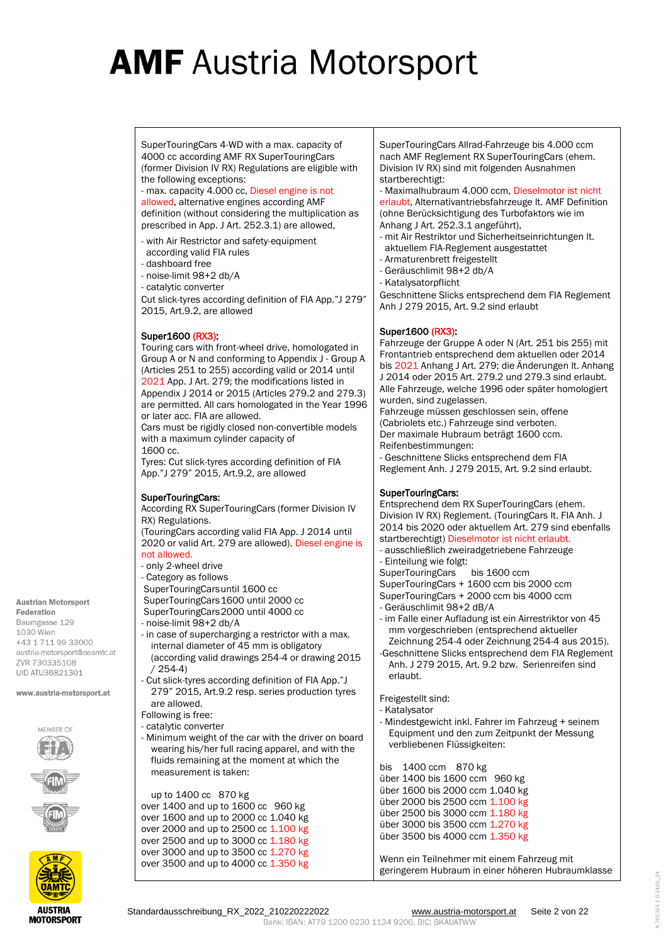SuperTouringCars 4-WD with a max. capacity of 4000 cc according AMF RX SuperTouringCars (former Division IV RX) Regulations are eligible with the following exceptions:

- max. capacity 4.000 cc, Diesel engine is not allowed, alternative engines according AMF definition (without considering the multiplication as prescribed in App. J Art. 252.3.1) are allowed,

- with Air Restrictor and safety-equipment according valid FIA rules
- dashboard free
- noise-limit 98+2 db/A
- catalytic converter

Cut slick-tyres according definition of FIA App."J 279" 2015, Art.9.2, are allowed

### Super1600 (RX3):

Touring cars with front-wheel drive, homologated in Group A or N and conforming to Appendix J - Group A (Articles 251 to 255) according valid or 2014 until 2021 App. J Art. 279; the modifications listed in Appendix J 2014 or 2015 (Articles 279.2 and 279.3) are permitted. All cars homologated in the Year 1996 or later acc. FIA are allowed.

Cars must be rigidly closed non-convertible models with a maximum cylinder capacity of 1600 cc.

Tyres: Cut slick-tyres according definition of FIA App."J 279" 2015, Art.9.2, are allowed

### SuperTouringCars:

According RX SuperTouringCars (former Division IV RX) Regulations. (TouringCars according valid FIA App. J 2014 until 2020 or valid Art. 279 are allowed). Diesel engine is

#### not allowed.

- only 2-wheel drive
- Category as follows
- SuperTouringCarsuntil 1600 cc
- SuperTouringCars1600 until 2000 cc
- SuperTouringCars2000 until 4000 cc
- noise-limit 98+2 db/A
- in case of supercharging a restrictor with a max. internal diameter of 45 mm is obligatory (according valid drawings 254-4 or drawing 2015 / 254-4)
- Cut slick-tyres according definition of FIA App."J 279" 2015, Art.9.2 resp. series production tyres are allowed.
- Following is free:
- catalytic converter
- Minimum weight of the car with the driver on board wearing his/her full racing apparel, and with the fluids remaining at the moment at which the measurement is taken:

up to 1400 cc 870 kg over 1400 and up to 1600 cc 960 kg over 1600 and up to 2000 cc 1.040 kg over 2000 and up to 2500 cc 1.100 kg over 2500 and up to 3000 cc 1.180 kg over 3000 and up to 3500 cc 1.270 kg over 3500 and up to 4000 cc 1.350 kg SuperTouringCars Allrad-Fahrzeuge bis 4.000 ccm nach AMF Reglement RX SuperTouringCars (ehem. Division IV RX) sind mit folgenden Ausnahmen startberechtigt:

- Maximalhubraum 4.000 ccm, Dieselmotor ist nicht erlaubt, Alternativantriebsfahrzeuge lt. AMF Definition (ohne Berücksichtigung des Turbofaktors wie im Anhang J Art. 252.3.1 angeführt),

- mit Air Restriktor und Sicherheitseinrichtungen lt. aktuellem FIA-Reglement ausgestattet
- Armaturenbrett freigestellt
- Geräuschlimit 98+2 db/A
- Katalysatorpflicht

Geschnittene Slicks entsprechend dem FIA Reglement Anh J 279 2015, Art. 9.2 sind erlaubt

### Super1600 (RX3):

Fahrzeuge der Gruppe A oder N (Art. 251 bis 255) mit Frontantrieb entsprechend dem aktuellen oder 2014 bis 2021 Anhang J Art. 279; die Änderungen lt. Anhang J 2014 oder 2015 Art. 279.2 und 279.3 sind erlaubt. Alle Fahrzeuge, welche 1996 oder später homologiert wurden, sind zugelassen.

Fahrzeuge müssen geschlossen sein, offene (Cabriolets etc.) Fahrzeuge sind verboten. Der maximale Hubraum beträgt 1600 ccm. Reifenbestimmungen: - Geschnittene Slicks entsprechend dem FIA Reglement Anh. J 279 2015, Art. 9.2 sind erlaubt.

#### SuperTouringCars:

Entsprechend dem RX SuperTouringCars (ehem. Division IV RX) Reglement. (TouringCars lt. FIA Anh. J 2014 bis 2020 oder aktuellem Art. 279 sind ebenfalls startberechtigt) Dieselmotor ist nicht erlaubt. - ausschließlich zweiradgetriebene Fahrzeuge

- Einteilung wie folgt:
- 
- SuperTouringCars bis 1600 ccm SuperTouringCars + 1600 ccm bis 2000 ccm
- 
- SuperTouringCars + 2000 ccm bis 4000 ccm
- Geräuschlimit 98+2 dB/A
- im Falle einer Aufladung ist ein Airrestriktor von 45 mm vorgeschrieben (entsprechend aktueller Zeichnung 254-4 oder Zeichnung 254-4 aus 2015).
- -Geschnittene Slicks entsprechend dem FIA Reglement Anh. J 279 2015, Art. 9.2 bzw. Serienreifen sind erlaubt.

Freigestellt sind:

- Katalysator
- Mindestgewicht inkl. Fahrer im Fahrzeug + seinem Equipment und den zum Zeitpunkt der Messung verbliebenen Flüssigkeiten:

bis 1400 ccm 870 kg über 1400 bis 1600 ccm 960 kg über 1600 bis 2000 ccm 1.040 kg über 2000 bis 2500 ccm 1.100 kg über 2500 bis 3000 ccm 1.180 kg über 3000 bis 3500 ccm 1.270 kg über 3500 bis 4000 ccm 1.350 kg

Wenn ein Teilnehmer mit einem Fahrzeug mit geringerem Hubraum in einer höheren Hubraumklasse

**Austrian Motorsport** Federation Baumgasse 129 1030 Wien +43 1 711 99 33000 austria-motorsport@oeamtc.at **7VR 730335108 UID ATU36821301**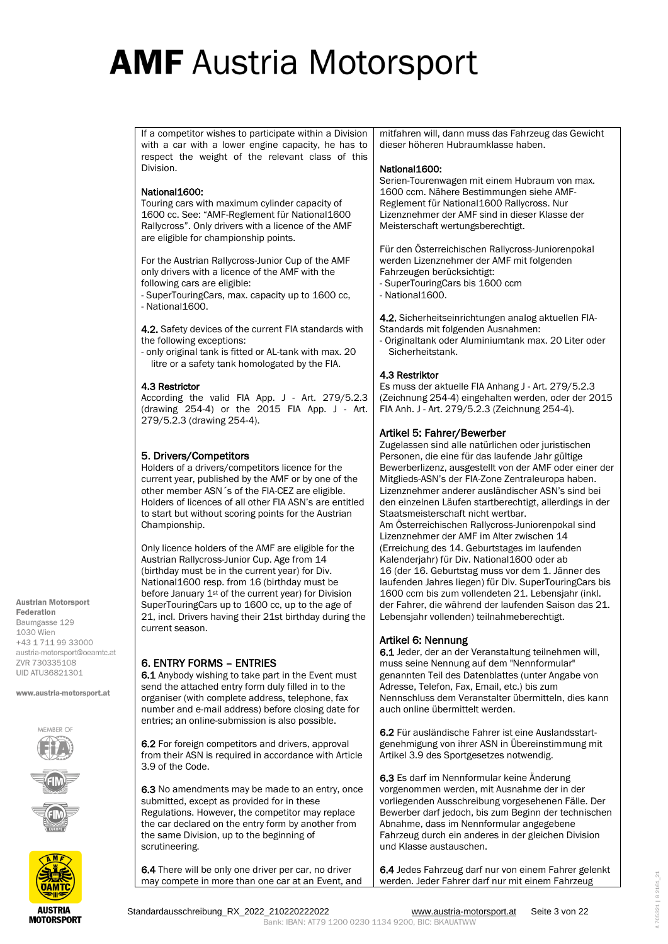If a competitor wishes to participate within a Division with a car with a lower engine capacity, he has to respect the weight of the relevant class of this Division.

#### National1600:

Touring cars with maximum cylinder capacity of 1600 cc. See: "AMF-Reglement für National1600 Rallycross". Only drivers with a licence of the AMF are eligible for championship points.

For the Austrian Rallycross-Junior Cup of the AMF only drivers with a licence of the AMF with the following cars are eligible:

- SuperTouringCars, max. capacity up to 1600 cc, - National1600.

4.2. Safety devices of the current FIA standards with the following exceptions:

- only original tank is fitted or AL-tank with max. 20 litre or a safety tank homologated by the FIA.

#### 4.3 Restrictor

According the valid FIA App. J - Art. 279/5.2.3 (drawing 254-4) or the 2015 FIA App. J - Art. 279/5.2.3 (drawing 254-4).

### 5. Drivers/Competitors

Holders of a drivers/competitors licence for the current year, published by the AMF or by one of the other member ASN´s of the FIA-CEZ are eligible. Holders of licences of all other FIA ASN's are entitled to start but without scoring points for the Austrian Championship.

Only licence holders of the AMF are eligible for the Austrian Rallycross-Junior Cup. Age from 14 (birthday must be in the current year) for Div. National1600 resp. from 16 (birthday must be before January 1<sup>st</sup> of the current year) for Division SuperTouringCars up to 1600 cc, up to the age of 21, incl. Drivers having their 21st birthday during the current season.

### 6. ENTRY FORMS – ENTRIES

6.1 Anybody wishing to take part in the Event must send the attached entry form duly filled in to the organiser (with complete address, telephone, fax number and e-mail address) before closing date for entries; an online-submission is also possible.

6.2 For foreign competitors and drivers, approval from their ASN is required in accordance with Article 3.9 of the Code.

6.3 No amendments may be made to an entry, once submitted, except as provided for in these Regulations. However, the competitor may replace the car declared on the entry form by another from the same Division, up to the beginning of scrutineering.

6.4 There will be only one driver per car, no driver may compete in more than one car at an Event, and

mitfahren will, dann muss das Fahrzeug das Gewicht dieser höheren Hubraumklasse haben.

#### National1600:

Serien-Tourenwagen mit einem Hubraum von max. 1600 ccm. Nähere Bestimmungen siehe AMF-Reglement für National1600 Rallycross. Nur Lizenznehmer der AMF sind in dieser Klasse der Meisterschaft wertungsberechtigt.

Für den Österreichischen Rallycross-Juniorenpokal werden Lizenznehmer der AMF mit folgenden Fahrzeugen berücksichtigt:

- SuperTouringCars bis 1600 ccm
- National 1600.

4.2. Sicherheitseinrichtungen analog aktuellen FIA-Standards mit folgenden Ausnahmen:

- Originaltank oder Aluminiumtank max. 20 Liter oder Sicherheitstank.

#### 4.3 Restriktor

Es muss der aktuelle FIA Anhang J - Art. 279/5.2.3 (Zeichnung 254-4) eingehalten werden, oder der 2015 FIA Anh. J - Art. 279/5.2.3 (Zeichnung 254-4).

### Artikel 5: Fahrer/Bewerber

Zugelassen sind alle natürlichen oder juristischen Personen, die eine für das laufende Jahr gültige Bewerberlizenz, ausgestellt von der AMF oder einer der Mitglieds-ASN's der FIA-Zone Zentraleuropa haben. Lizenznehmer anderer ausländischer ASN's sind bei den einzelnen Läufen startberechtigt, allerdings in der Staatsmeisterschaft nicht wertbar. Am Österreichischen Rallycross-Juniorenpokal sind Lizenznehmer der AMF im Alter zwischen 14 (Erreichung des 14. Geburtstages im laufenden Kalenderjahr) für Div. National1600 oder ab 16 (der 16. Geburtstag muss vor dem 1. Jänner des laufenden Jahres liegen) für Div. SuperTouringCars bis 1600 ccm bis zum vollendeten 21. Lebensjahr (inkl. der Fahrer, die während der laufenden Saison das 21. Lebensjahr vollenden) teilnahmeberechtigt.

### Artikel 6: Nennung

6.1 Jeder, der an der Veranstaltung teilnehmen will, muss seine Nennung auf dem "Nennformular" genannten Teil des Datenblattes (unter Angabe von Adresse, Telefon, Fax, Email, etc.) bis zum Nennschluss dem Veranstalter übermitteln, dies kann auch online übermittelt werden.

6.2 Für ausländische Fahrer ist eine Auslandsstartgenehmigung von ihrer ASN in Übereinstimmung mit Artikel 3.9 des Sportgesetzes notwendig.

6.3 Es darf im Nennformular keine Änderung vorgenommen werden, mit Ausnahme der in der vorliegenden Ausschreibung vorgesehenen Fälle. Der Bewerber darf jedoch, bis zum Beginn der technischen Abnahme, dass im Nennformular angegebene Fahrzeug durch ein anderes in der gleichen Division und Klasse austauschen.

6.4 Jedes Fahrzeug darf nur von einem Fahrer gelenkt werden. Jeder Fahrer darf nur mit einem Fahrzeug

**7VR 730335108 UID ATU36821301** 

**Austrian Motorsport** 



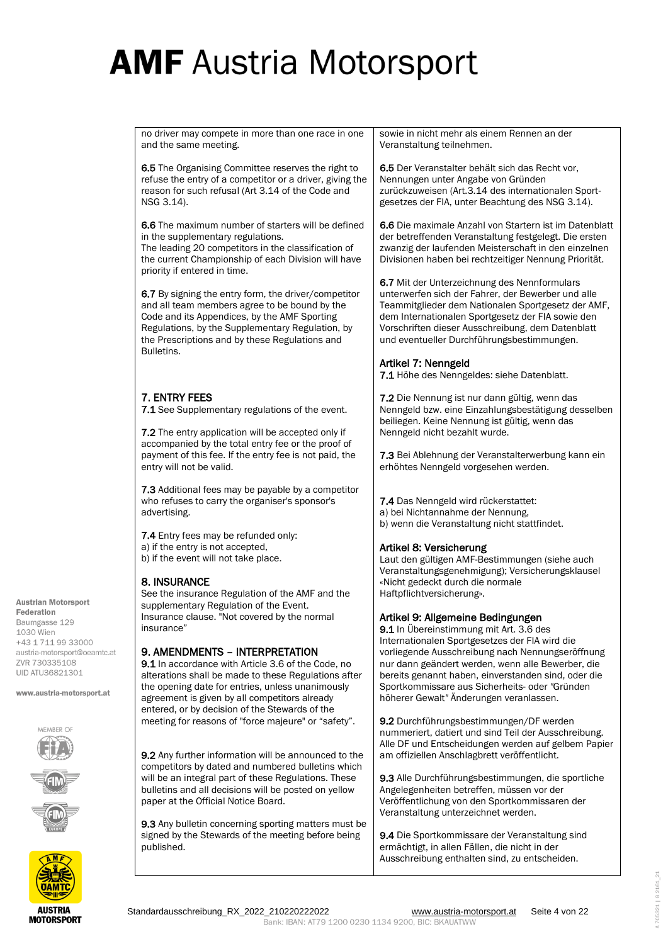no driver may compete in more than one race in one and the same meeting.

6.5 The Organising Committee reserves the right to refuse the entry of a competitor or a driver, giving the reason for such refusal (Art 3.14 of the Code and NSG 3.14).

6.6 The maximum number of starters will be defined in the supplementary regulations.

The leading 20 competitors in the classification of the current Championship of each Division will have priority if entered in time.

6.7 By signing the entry form, the driver/competitor and all team members agree to be bound by the Code and its Appendices, by the AMF Sporting Regulations, by the Supplementary Regulation, by the Prescriptions and by these Regulations and Bulletins.

## 7. ENTRY FEES

7.1 See Supplementary regulations of the event.

7.2 The entry application will be accepted only if accompanied by the total entry fee or the proof of payment of this fee. If the entry fee is not paid, the entry will not be valid.

7.3 Additional fees may be payable by a competitor who refuses to carry the organiser's sponsor's advertising.

7.4 Entry fees may be refunded only: a) if the entry is not accepted, b) if the event will not take place.

### 8. INSURANCE

See the insurance Regulation of the AMF and the supplementary Regulation of the Event. Insurance clause. "Not covered by the normal insurance"

### 9. AMENDMENTS – INTERPRETATION

9.1 In accordance with Article 3.6 of the Code, no alterations shall be made to these Regulations after the opening date for entries, unless unanimously agreement is given by all competitors already entered, or by decision of the Stewards of the meeting for reasons of "force majeure" or "safety".

9.2 Any further information will be announced to the competitors by dated and numbered bulletins which will be an integral part of these Regulations. These bulletins and all decisions will be posted on yellow paper at the Official Notice Board.

9.3 Any bulletin concerning sporting matters must be signed by the Stewards of the meeting before being published.

sowie in nicht mehr als einem Rennen an der Veranstaltung teilnehmen.

6.5 Der Veranstalter behält sich das Recht vor, Nennungen unter Angabe von Gründen zurückzuweisen (Art.3.14 des internationalen Sportgesetzes der FIA, unter Beachtung des NSG 3.14).

6.6 Die maximale Anzahl von Startern ist im Datenblatt der betreffenden Veranstaltung festgelegt. Die ersten zwanzig der laufenden Meisterschaft in den einzelnen Divisionen haben bei rechtzeitiger Nennung Priorität.

6.7 Mit der Unterzeichnung des Nennformulars unterwerfen sich der Fahrer, der Bewerber und alle Teammitglieder dem Nationalen Sportgesetz der AMF, dem Internationalen Sportgesetz der FIA sowie den Vorschriften dieser Ausschreibung, dem Datenblatt und eventueller Durchführungsbestimmungen.

## Artikel 7: Nenngeld

7.1 Höhe des Nenngeldes: siehe Datenblatt.

7.2 Die Nennung ist nur dann gültig, wenn das Nenngeld bzw. eine Einzahlungsbestätigung desselben beiliegen. Keine Nennung ist gültig, wenn das Nenngeld nicht bezahlt wurde.

7.3 Bei Ablehnung der Veranstalterwerbung kann ein erhöhtes Nenngeld vorgesehen werden.

7.4 Das Nenngeld wird rückerstattet: a) bei Nichtannahme der Nennung, b) wenn die Veranstaltung nicht stattfindet.

### Artikel 8: Versicherung

Laut den gültigen AMF-Bestimmungen (siehe auch Veranstaltungsgenehmigung); Versicherungsklausel «Nicht gedeckt durch die normale Haftpflichtversicherung».

### Artikel 9: Allgemeine Bedingungen

9.1 In Übereinstimmung mit Art. 3.6 des Internationalen Sportgesetzes der FIA wird die vorliegende Ausschreibung nach Nennungseröffnung nur dann geändert werden, wenn alle Bewerber, die bereits genannt haben, einverstanden sind, oder die Sportkommissare aus Sicherheits- oder *"*Gründen höherer Gewalt*"* Änderungen veranlassen.

9.2 Durchführungsbestimmungen/DF werden nummeriert, datiert und sind Teil der Ausschreibung. Alle DF und Entscheidungen werden auf gelbem Papier am offiziellen Anschlagbrett veröffentlicht.

9.3 Alle Durchführungsbestimmungen, die sportliche Angelegenheiten betreffen, müssen vor der Veröffentlichung von den Sportkommissaren der Veranstaltung unterzeichnet werden.

9.4 Die Sportkommissare der Veranstaltung sind ermächtigt, in allen Fällen, die nicht in der Ausschreibung enthalten sind, zu entscheiden.

**Austrian Motorsport** Federation Baumgasse 129 1030 Wien +43 1 711 99 33000 austria-motorsport@oeamtc.at **7VR 730335108 UID ATU36821301** 

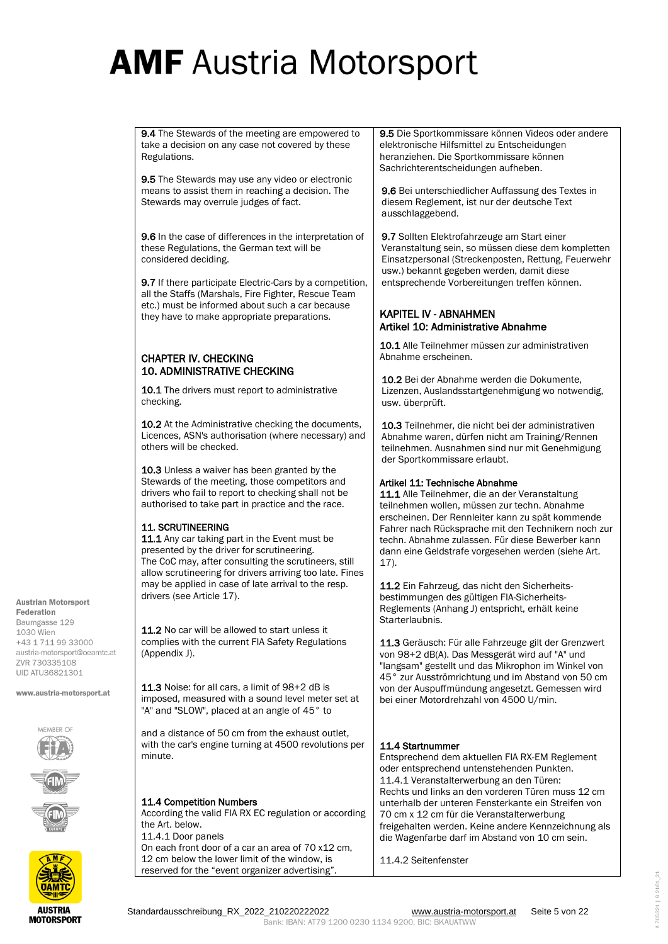9.4 The Stewards of the meeting are empowered to take a decision on any case not covered by these Regulations.

9.5 The Stewards may use any video or electronic means to assist them in reaching a decision. The Stewards may overrule judges of fact.

9.6 In the case of differences in the interpretation of these Regulations, the German text will be considered deciding.

9.7 If there participate Electric-Cars by a competition, all the Staffs (Marshals, Fire Fighter, Rescue Team etc.) must be informed about such a car because they have to make appropriate preparations.

### CHAPTER IV. CHECKING 10. ADMINISTRATIVE CHECKING

10.1 The drivers must report to administrative checking.

10.2 At the Administrative checking the documents, Licences, ASN's authorisation (where necessary) and others will be checked.

10.3 Unless a waiver has been granted by the Stewards of the meeting, those competitors and drivers who fail to report to checking shall not be authorised to take part in practice and the race.

### 11. SCRUTINEERING

11.1 Any car taking part in the Event must be presented by the driver for scrutineering. The CoC may, after consulting the scrutineers, still allow scrutineering for drivers arriving too late. Fines may be applied in case of late arrival to the resp. drivers (see Article 17).

11.2 No car will be allowed to start unless it complies with the current FIA Safety Regulations (Appendix J).

11.3 Noise: for all cars, a limit of 98+2 dB is imposed, measured with a sound level meter set at "A" and "SLOW", placed at an angle of 45° to

and a distance of 50 cm from the exhaust outlet, with the car's engine turning at 4500 revolutions per minute.

### 11.4 Competition Numbers

According the valid FIA RX EC regulation or according the Art. below. 11.4.1 Door panels On each front door of a car an area of 70 x12 cm, 12 cm below the lower limit of the window, is reserved for the "event organizer advertising".

9.5 Die Sportkommissare können Videos oder andere elektronische Hilfsmittel zu Entscheidungen heranziehen. Die Sportkommissare können Sachrichterentscheidungen aufheben.

9.6 Bei unterschiedlicher Auffassung des Textes in diesem Reglement, ist nur der deutsche Text ausschlaggebend.

9.7 Sollten Elektrofahrzeuge am Start einer Veranstaltung sein, so müssen diese dem kompletten Einsatzpersonal (Streckenposten, Rettung, Feuerwehr usw.) bekannt gegeben werden, damit diese entsprechende Vorbereitungen treffen können.

### KAPITEL IV - ABNAHMEN Artikel 10: Administrative Abnahme

10.1 Alle Teilnehmer müssen zur administrativen Abnahme erscheinen.

10.2 Bei der Abnahme werden die Dokumente, Lizenzen, Auslandsstartgenehmigung wo notwendig, usw. überprüft.

10.3 Teilnehmer, die nicht bei der administrativen Abnahme waren, dürfen nicht am Training/Rennen teilnehmen. Ausnahmen sind nur mit Genehmigung der Sportkommissare erlaubt.

### Artikel 11: Technische Abnahme

11.1 Alle Teilnehmer, die an der Veranstaltung teilnehmen wollen, müssen zur techn. Abnahme erscheinen. Der Rennleiter kann zu spät kommende Fahrer nach Rücksprache mit den Technikern noch zur techn. Abnahme zulassen. Für diese Bewerber kann dann eine Geldstrafe vorgesehen werden (siehe Art. 17).

11.2 Ein Fahrzeug, das nicht den Sicherheitsbestimmungen des gültigen FIA-Sicherheits-Reglements (Anhang J) entspricht, erhält keine Starterlaubnis.

11.3 Geräusch: Für alle Fahrzeuge gilt der Grenzwert von 98+2 dB(A). Das Messgerät wird auf "A" und "langsam" gestellt und das Mikrophon im Winkel von 45° zur Ausströmrichtung und im Abstand von 50 cm von der Auspuffmündung angesetzt. Gemessen wird bei einer Motordrehzahl von 4500 U/min.

### 11.4 Startnummer

Entsprechend dem aktuellen FIA RX-EM Reglement oder entsprechend untenstehenden Punkten. 11.4.1 Veranstalterwerbung an den Türen: Rechts und links an den vorderen Türen muss 12 cm unterhalb der unteren Fensterkante ein Streifen von 70 cm x 12 cm für die Veranstalterwerbung freigehalten werden. Keine andere Kennzeichnung als die Wagenfarbe darf im Abstand von 10 cm sein.

11.4.2 Seitenfenster

**Austrian Motorsport** Federation





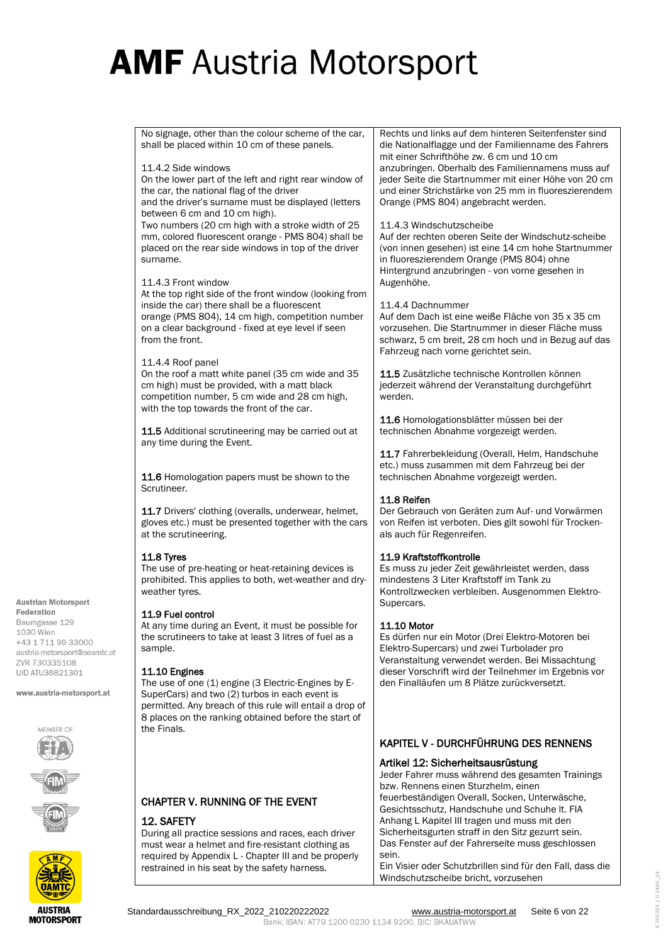No signage, other than the colour scheme of the car, shall be placed within 10 cm of these panels. 11.4.2 Side windows On the lower part of the left and right rear window of the car, the national flag of the driver and the driver's surname must be displayed (letters between 6 cm and 10 cm high). Two numbers (20 cm high with a stroke width of 25 mm, colored fluorescent orange - PMS 804) shall be placed on the rear side windows in top of the driver surname. 11.4.3 Front window At the top right side of the front window (looking from inside the car) there shall be a fluorescent orange (PMS 804), 14 cm high, competition number on a clear background - fixed at eye level if seen from the front. 11.4.4 Roof panel On the roof a matt white panel (35 cm wide and 35 cm high) must be provided, with a matt black competition number, 5 cm wide and 28 cm high, with the top towards the front of the car. 11.5 Additional scrutineering may be carried out at any time during the Event. 11.6 Homologation papers must be shown to the Scrutineer. 11.7 Drivers' clothing (overalls, underwear, helmet, gloves etc.) must be presented together with the cars at the scrutineering. 11.8 Tyres The use of pre-heating or heat-retaining devices is prohibited. This applies to both, wet-weather and dryweather tyres. 11.9 Fuel control At any time during an Event, it must be possible for the scrutineers to take at least 3 litres of fuel as a sample. 11.10 Engines The use of one (1) engine (3 Electric-Engines by E-SuperCars) and two (2) turbos in each event is permitted. Any breach of this rule will entail a drop of 8 places on the ranking obtained before the start of the Finals. CHAPTER V. RUNNING OF THE EVENT Rechts und links auf dem hinteren Seitenfenster sind die Nationalflagge und der Familienname des Fahrers mit einer Schrifthöhe zw. 6 cm und 10 cm anzubringen. Oberhalb des Familiennamens muss auf jeder Seite die Startnummer mit einer Höhe von 20 cm und einer Strichstärke von 25 mm in fluoreszierendem Orange (PMS 804) angebracht werden. 11.4.3 Windschutzscheibe Auf der rechten oberen Seite der Windschutz-scheibe (von innen gesehen) ist eine 14 cm hohe Startnummer in fluoreszierendem Orange (PMS 804) ohne Hintergrund anzubringen - von vorne gesehen in Augenhöhe. 11.4.4 Dachnummer Auf dem Dach ist eine weiße Fläche von 35 x 35 cm vorzusehen. Die Startnummer in dieser Fläche muss schwarz, 5 cm breit, 28 cm hoch und in Bezug auf das Fahrzeug nach vorne gerichtet sein. 11.5 Zusätzliche technische Kontrollen können jederzeit während der Veranstaltung durchgeführt werden. 11.6 Homologationsblätter müssen bei der technischen Abnahme vorgezeigt werden. 11.7 Fahrerbekleidung (Overall, Helm, Handschuhe etc.) muss zusammen mit dem Fahrzeug bei der technischen Abnahme vorgezeigt werden. 11.8 Reifen Der Gebrauch von Geräten zum Auf- und Vorwärmen von Reifen ist verboten. Dies gilt sowohl für Trockenals auch für Regenreifen. 11.9 Kraftstoffkontrolle Es muss zu jeder Zeit gewährleistet werden, dass mindestens 3 Liter Kraftstoff im Tank zu Kontrollzwecken verbleiben. Ausgenommen Elektro-Supercars. 11.10 Motor Es dürfen nur ein Motor (Drei Elektro-Motoren bei Elektro-Supercars) und zwei Turbolader pro Veranstaltung verwendet werden. Bei Missachtung dieser Vorschrift wird der Teilnehmer im Ergebnis vor den Finalläufen um 8 Plätze zurückversetzt. KAPITEL V - DURCHFÜHRUNG DES RENNENS Artikel 12: Sicherheitsausrüstung Jeder Fahrer muss während des gesamten Trainings bzw. Rennens einen Sturzhelm, einen feuerbeständigen Overall, Socken, Unterwäsche, Gesichtsschutz, Handschuhe und Schuhe lt. FIA

Anhang L Kapitel III tragen und muss mit den Sicherheitsgurten straff in den Sitz gezurrt sein. Das Fenster auf der Fahrerseite muss geschlossen sein.

Ein Visier oder Schutzbrillen sind für den Fall, dass die Windschutzscheibe bricht, vorzusehen

1030 Wien +43 1 711 99 33000 austria-motorsport@oeamtc.at **7VR 730335108 UID ATU36821301** 

www.austria-motorsport.at







## 12. SAFETY

During all practice sessions and races, each driver must wear a helmet and fire-resistant clothing as required by Appendix L - Chapter III and be properly restrained in his seat by the safety harness.

Standardausschreibung\_RX\_2022\_210220222022 [www.austria-motorsport.at](http://www.austria-motorsport.at/) Seite 6 von 22 Bank: IBAN: AT79 1200 0230 1134 9200, BIC: BKAUATWW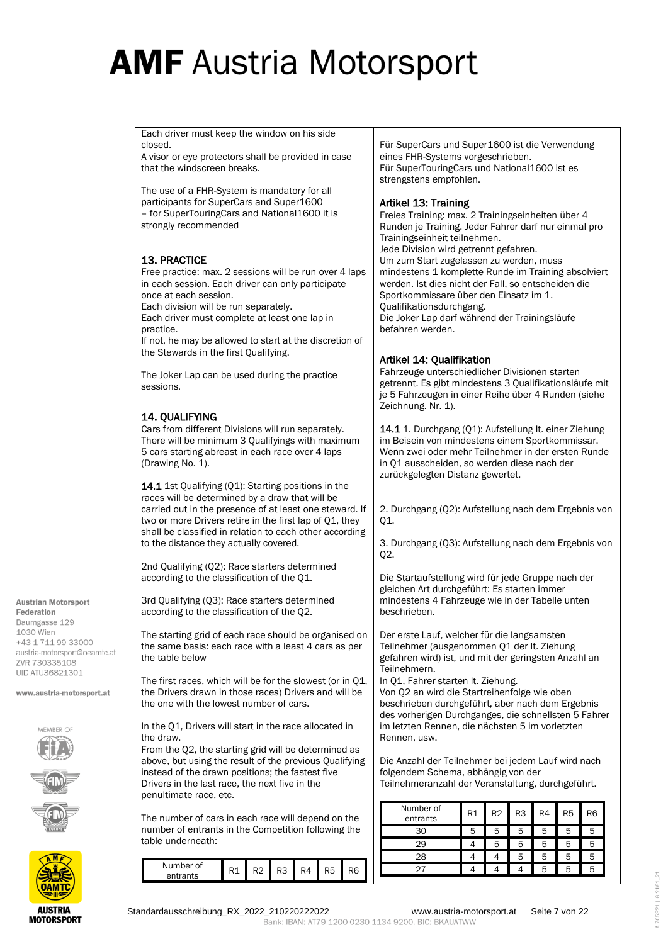Each driver must keep the window on his side closed.

A visor or eye protectors shall be provided in case that the windscreen breaks.

The use of a FHR-System is mandatory for all participants for SuperCars and Super1600 – for SuperTouringCars and National1600 it is strongly recommended

## 13. PRACTICE

Free practice: max. 2 sessions will be run over 4 laps in each session. Each driver can only participate once at each session.

Each division will be run separately. Each driver must complete at least one lap in practice.

If not, he may be allowed to start at the discretion of the Stewards in the first Qualifying.

The Joker Lap can be used during the practice sessions.

## 14. QUALIFYING

Cars from different Divisions will run separately. There will be minimum 3 Qualifyings with maximum 5 cars starting abreast in each race over 4 laps (Drawing No. 1).

14.1 1st Qualifying (Q1): Starting positions in the races will be determined by a draw that will be carried out in the presence of at least one steward. If two or more Drivers retire in the first lap of Q1, they shall be classified in relation to each other according to the distance they actually covered.

2nd Qualifying (Q2): Race starters determined according to the classification of the Q1.

3rd Qualifying (Q3): Race starters determined according to the classification of the Q2.

The starting grid of each race should be organised on the same basis: each race with a least 4 cars as per the table below

The first races, which will be for the slowest (or in Q1, the Drivers drawn in those races) Drivers and will be the one with the lowest number of cars.

In the Q1, Drivers will start in the race allocated in the draw.

From the Q2, the starting grid will be determined as above, but using the result of the previous Qualifying instead of the drawn positions; the fastest five Drivers in the last race, the next five in the penultimate race, etc.

The number of cars in each race will depend on the number of entrants in the Competition following the table underneath:

| Number of<br>entrants | R2 | R <sub>3</sub> | 94. | R <sub>6</sub> |
|-----------------------|----|----------------|-----|----------------|
|                       |    |                |     |                |

Für SuperCars und Super1600 ist die Verwendung eines FHR-Systems vorgeschrieben. Für SuperTouringCars und National1600 ist es strengstens empfohlen.

### Artikel 13: Training

Freies Training: max. 2 Trainingseinheiten über 4 Runden je Training. Jeder Fahrer darf nur einmal pro Trainingseinheit teilnehmen. Jede Division wird getrennt gefahren. Um zum Start zugelassen zu werden, muss mindestens 1 komplette Runde im Training absolviert werden. Ist dies nicht der Fall, so entscheiden die Sportkommissare über den Einsatz im 1. Qualifikationsdurchgang. Die Joker Lap darf während der Trainingsläufe befahren werden.

## Artikel 14: Qualifikation

Fahrzeuge unterschiedlicher Divisionen starten getrennt. Es gibt mindestens 3 Qualifikationsläufe mit je 5 Fahrzeugen in einer Reihe über 4 Runden (siehe Zeichnung. Nr. 1).

14.1 1. Durchgang (O1): Aufstellung It, einer Ziehung im Beisein von mindestens einem Sportkommissar. Wenn zwei oder mehr Teilnehmer in der ersten Runde in Q1 ausscheiden, so werden diese nach der zurückgelegten Distanz gewertet.

2. Durchgang (Q2): Aufstellung nach dem Ergebnis von Q1.

3. Durchgang (Q3): Aufstellung nach dem Ergebnis von Q2.

Die Startaufstellung wird für jede Gruppe nach der gleichen Art durchgeführt: Es starten immer mindestens 4 Fahrzeuge wie in der Tabelle unten beschrieben.

Der erste Lauf, welcher für die langsamsten Teilnehmer (ausgenommen Q1 der lt. Ziehung gefahren wird) ist, und mit der geringsten Anzahl an Teilnehmern.

In Q1, Fahrer starten lt. Ziehung.

Von Q2 an wird die Startreihenfolge wie oben beschrieben durchgeführt, aber nach dem Ergebnis des vorherigen Durchganges, die schnellsten 5 Fahrer im letzten Rennen, die nächsten 5 im vorletzten Rennen, usw.

Die Anzahl der Teilnehmer bei jedem Lauf wird nach folgendem Schema, abhängig von der Teilnehmeranzahl der Veranstaltung, durchgeführt.

| Number of<br>entrants | R1 | R <sub>2</sub> | R <sub>3</sub> | R4 | R <sub>5</sub> | R6 |
|-----------------------|----|----------------|----------------|----|----------------|----|
| 30                    | 5  | 5              | 5              | 5  | h              | 5  |
| 29                    |    | 5              | 5              | 5  | 5              | 5  |
| 28                    |    |                | 5              | 5  | 5              | 5  |
|                       |    |                |                | 5  | 5              | 5  |

**UID ATU36821301** 

**Austrian Motorsport** 

www.austria-motorsport.at



**MOTORSPORT**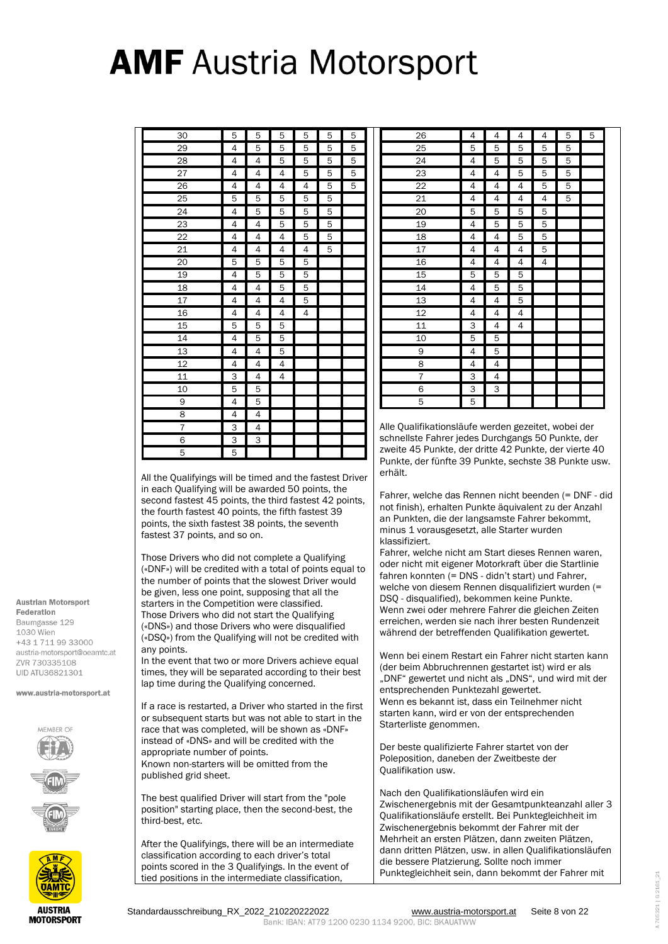| 30              | 5              | 5              | 5              | 5              | 5 | 5 |
|-----------------|----------------|----------------|----------------|----------------|---|---|
| 29              | 4              | 5              | 5              | 5              | 5 | 5 |
| 28              | 4              | 4              | 5              | 5              | 5 | 5 |
| 27              | 4              | 4              | $\overline{4}$ | 5              | 5 | 5 |
| 26              | 4              | 4              | 4              | 4              | 5 | 5 |
| 25              | 5              | 5              | 5              | 5              | 5 |   |
| 24              | 4              | 5              | 5              | 5              | 5 |   |
| 23              | 4              | 4              | 5              | 5              | 5 |   |
| 22              | 4              | 4              | 4              | 5              | 5 |   |
| 21              | 4              | 4              | 4              | 4              | 5 |   |
| 20              | 5              | 5              | 5              | 5              |   |   |
| 19              | 4              | 5              | 5              | 5              |   |   |
| 18              | 4              | 4              | 5              | 5              |   |   |
| 17              | 4              | 4              | 4              | 5              |   |   |
| 16              | 4              | 4              | 4              | $\overline{4}$ |   |   |
| 15              | 5              | 5              | 5              |                |   |   |
| 14              | 4              | 5              | 5              |                |   |   |
| $\overline{13}$ | 4              | $\overline{4}$ | 5              |                |   |   |
| 12              | 4              | 4              | 4              |                |   |   |
| 11              | 3              | 4              | 4              |                |   |   |
| 10              | 5              | 5              |                |                |   |   |
| 9               | 4              | 5              |                |                |   |   |
| 8               | 4              | 4              |                |                |   |   |
| 7               | $\overline{3}$ | $\overline{4}$ |                |                |   |   |
| 6               | $\overline{3}$ | $\overline{3}$ |                |                |   |   |
| 5               | 5              |                |                |                |   |   |

All the Qualifyings will be timed and the fastest Driver in each Qualifying will be awarded 50 points, the second fastest 45 points, the third fastest 42 points, the fourth fastest 40 points, the fifth fastest 39 points, the sixth fastest 38 points, the seventh fastest 37 points, and so on.

Those Drivers who did not complete a Qualifying («DNF») will be credited with a total of points equal to the number of points that the slowest Driver would be given, less one point, supposing that all the starters in the Competition were classified. Those Drivers who did not start the Qualifying («DNS») and those Drivers who were disqualified («DSQ») from the Qualifying will not be credited with any points.

In the event that two or more Drivers achieve equal times, they will be separated according to their best lap time during the Qualifying concerned.

If a race is restarted, a Driver who started in the first or subsequent starts but was not able to start in the race that was completed, will be shown as «DNF» instead of «DNS» and will be credited with the appropriate number of points. Known non-starters will be omitted from the published grid sheet.

The best qualified Driver will start from the "pole position" starting place, then the second-best, the third-best, etc.

After the Qualifyings, there will be an intermediate classification according to each driver's total points scored in the 3 Qualifyings. In the event of tied positions in the intermediate classification,

| 26              | 4 | 4 | 4 | 4 | 5 | 5 |
|-----------------|---|---|---|---|---|---|
| 25              | 5 | 5 | 5 | 5 | 5 |   |
| 24              | 4 | 5 | 5 | 5 | 5 |   |
| 23              | 4 | 4 | 5 | 5 | 5 |   |
| $\overline{22}$ | 4 | 4 | 4 | 5 | 5 |   |
| 21              | 4 | 4 | 4 | 4 | 5 |   |
| 20              | 5 | 5 | 5 | 5 |   |   |
| 19              | 4 | 5 | 5 | 5 |   |   |
| 18              | 4 | 4 | 5 | 5 |   |   |
| 17              | 4 | 4 | 4 | 5 |   |   |
| 16              | 4 | 4 | 4 | 4 |   |   |
| 15              | 5 | 5 | 5 |   |   |   |
| 14              | 4 | 5 | 5 |   |   |   |
| 13              | 4 | 4 | 5 |   |   |   |
| 12              | 4 | 4 | 4 |   |   |   |
| 11              | 3 | 4 | 4 |   |   |   |
| 10              | 5 | 5 |   |   |   |   |
| 9               | 4 | 5 |   |   |   |   |
| 8               | 4 | 4 |   |   |   |   |
| $\overline{7}$  | 3 | 4 |   |   |   |   |
| 6               | 3 | 3 |   |   |   |   |
| 5               | 5 |   |   |   |   |   |

Alle Qualifikationsläufe werden gezeitet, wobei der schnellste Fahrer jedes Durchgangs 50 Punkte, der zweite 45 Punkte, der dritte 42 Punkte, der vierte 40 Punkte, der fünfte 39 Punkte, sechste 38 Punkte usw. erhält.

Fahrer, welche das Rennen nicht beenden (= DNF - did not finish), erhalten Punkte äquivalent zu der Anzahl an Punkten, die der langsamste Fahrer bekommt, minus 1 vorausgesetzt, alle Starter wurden klassifiziert.

Fahrer, welche nicht am Start dieses Rennen waren, oder nicht mit eigener Motorkraft über die Startlinie fahren konnten (= DNS - didn't start) und Fahrer, welche von diesem Rennen disqualifiziert wurden (= DSQ - disqualified), bekommen keine Punkte. Wenn zwei oder mehrere Fahrer die gleichen Zeiten erreichen, werden sie nach ihrer besten Rundenzeit während der betreffenden Qualifikation gewertet.

Wenn bei einem Restart ein Fahrer nicht starten kann (der beim Abbruchrennen gestartet ist) wird er als "DNF" gewertet und nicht als "DNS", und wird mit der entsprechenden Punktezahl gewertet. Wenn es bekannt ist, dass ein Teilnehmer nicht starten kann, wird er von der entsprechenden Starterliste genommen.

Der beste qualifizierte Fahrer startet von der Poleposition, daneben der Zweitbeste der Qualifikation usw.

Nach den Qualifikationsläufen wird ein Zwischenergebnis mit der Gesamtpunkteanzahl aller 3 Qualifikationsläufe erstellt. Bei Punktegleichheit im Zwischenergebnis bekommt der Fahrer mit der Mehrheit an ersten Plätzen, dann zweiten Plätzen, dann dritten Plätzen, usw. in allen Qualifikationsläufen die bessere Platzierung. Sollte noch immer Punktegleichheit sein, dann bekommt der Fahrer mit

**Austrian Motorsport** Federation Baumgasse 129 1030 Wien +43 1 711 99 33000 austria-motorsport@oeamtc.at **7VR 730335108 UID ATU36821301** 

www.austria-motorsport.at



Standardausschreibung\_RX\_2022\_210220222022 [www.austria-motorsport.at](http://www.austria-motorsport.at/) Seite 8 von 22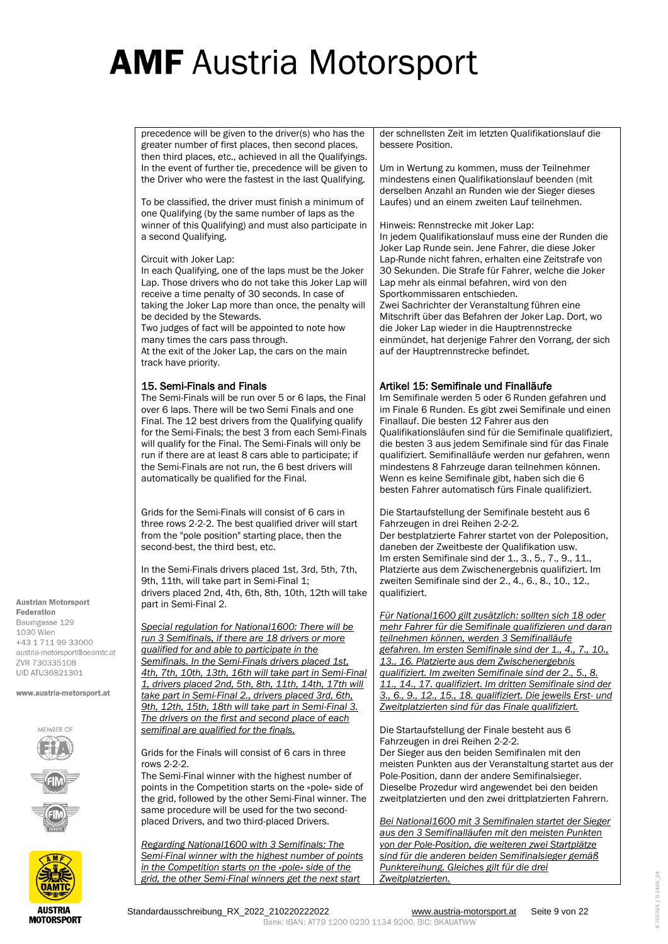precedence will be given to the driver(s) who has the greater number of first places, then second places, then third places, etc., achieved in all the Qualifyings. In the event of further tie, precedence will be given to the Driver who were the fastest in the last Qualifying.

To be classified, the driver must finish a minimum of one Qualifying (by the same number of laps as the winner of this Qualifying) and must also participate in a second Qualifying.

Circuit with Joker Lap:

In each Qualifying, one of the laps must be the Joker Lap. Those drivers who do not take this Joker Lap will receive a time penalty of 30 seconds. In case of taking the Joker Lap more than once, the penalty will be decided by the Stewards.

Two judges of fact will be appointed to note how many times the cars pass through.

At the exit of the Joker Lap, the cars on the main track have priority.

### 15. Semi-Finals and Finals

The Semi-Finals will be run over 5 or 6 laps, the Final over 6 laps. There will be two Semi Finals and one Final. The 12 best drivers from the Qualifying qualify for the Semi-Finals; the best 3 from each Semi-Finals will qualify for the Final. The Semi-Finals will only be run if there are at least 8 cars able to participate; if the Semi-Finals are not run, the 6 best drivers will automatically be qualified for the Final.

Grids for the Semi-Finals will consist of 6 cars in three rows 2-2-2. The best qualified driver will start from the "pole position" starting place, then the second-best, the third best, etc.

In the Semi-Finals drivers placed 1st, 3rd, 5th, 7th, 9th, 11th, will take part in Semi-Final 1; drivers placed 2nd, 4th, 6th, 8th, 10th, 12th will take part in Semi-Final 2.

*Special regulation for National1600: There will be run 3 Semifinals, if there are 18 drivers or more qualified for and able to participate in the Semifinals. In the Semi-Finals drivers placed 1st, 4th, 7th, 10th, 13th, 16th will take part in Semi-Final 1, drivers placed 2nd, 5th, 8th, 11th, 14th, 17th will take part in Semi-Final 2., drivers placed 3rd, 6th, 9th, 12th, 15th, 18th will take part in Semi-Final 3. The drivers on the first and second place of each semifinal are qualified for the finals.* 

Grids for the Finals will consist of 6 cars in three rows 2-2-2.

The Semi-Final winner with the highest number of points in the Competition starts on the «pole» side of the grid, followed by the other Semi-Final winner. The same procedure will be used for the two secondplaced Drivers, and two third-placed Drivers.

*Regarding National1600 with 3 Semifinals: The Semi-Final winner with the highest number of points in the Competition starts on the «pole» side of the grid, the other Semi-Final winners get the next start* 

der schnellsten Zeit im letzten Qualifikationslauf die bessere Position.

Um in Wertung zu kommen, muss der Teilnehmer mindestens einen Qualifikationslauf beenden (mit derselben Anzahl an Runden wie der Sieger dieses Laufes) und an einem zweiten Lauf teilnehmen.

Hinweis: Rennstrecke mit Joker Lap: In jedem Qualifikationslauf muss eine der Runden die Joker Lap Runde sein. Jene Fahrer, die diese Joker Lap-Runde nicht fahren, erhalten eine Zeitstrafe von 30 Sekunden. Die Strafe für Fahrer, welche die Joker Lap mehr als einmal befahren, wird von den Sportkommissaren entschieden. Zwei Sachrichter der Veranstaltung führen eine Mitschrift über das Befahren der Joker Lap. Dort, wo die Joker Lap wieder in die Hauptrennstrecke

einmündet, hat derjenige Fahrer den Vorrang, der sich

### Artikel 15: Semifinale und Finalläufe

auf der Hauptrennstrecke befindet.

Im Semifinale werden 5 oder 6 Runden gefahren und im Finale 6 Runden. Es gibt zwei Semifinale und einen Finallauf. Die besten 12 Fahrer aus den Qualifikationsläufen sind für die Semifinale qualifiziert, die besten 3 aus jedem Semifinale sind für das Finale qualifiziert. Semifinalläufe werden nur gefahren, wenn mindestens 8 Fahrzeuge daran teilnehmen können. Wenn es keine Semifinale gibt, haben sich die 6 besten Fahrer automatisch fürs Finale qualifiziert.

Die Startaufstellung der Semifinale besteht aus 6 Fahrzeugen in drei Reihen 2-2-2. Der bestplatzierte Fahrer startet von der Poleposition, daneben der Zweitbeste der Qualifikation usw. Im ersten Semifinale sind der 1., 3., 5., 7., 9., 11., Platzierte aus dem Zwischenergebnis qualifiziert. Im zweiten Semifinale sind der 2., 4., 6., 8., 10., 12., qualifiziert.

*Für National1600 gilt zusätzlich: sollten sich 18 oder mehr Fahrer für die Semifinale qualifizieren und daran teilnehmen können, werden 3 Semifinalläufe gefahren. Im ersten Semifinale sind der 1., 4., 7., 10., 13., 16. Platzierte aus dem Zwischenergebnis qualifiziert. Im zweiten Semifinale sind der 2., 5., 8. 11., 14., 17. qualifiziert. Im dritten Semifinale sind der 3., 6., 9., 12., 15., 18. qualifiziert. Die jeweils Erst- und Zweitplatzierten sind für das Finale qualifiziert.*

Die Startaufstellung der Finale besteht aus 6 Fahrzeugen in drei Reihen 2-2-2. Der Sieger aus den beiden Semifinalen mit den meisten Punkten aus der Veranstaltung startet aus der Pole-Position, dann der andere Semifinalsieger. Dieselbe Prozedur wird angewendet bei den beiden zweitplatzierten und den zwei drittplatzierten Fahrern.

*Bei National1600 mit 3 Semifinalen startet der Sieger aus den 3 Semifinalläufen mit den meisten Punkten von der Pole-Position, die weiteren zwei Startplätze sind für die anderen beiden Semifinalsieger gemäß Punktereihung. Gleiches gilt für die drei Zweitplatzierten.*

Federation Baumgasse 129 1030 Wien +43 1 711 99 33000 austria-motorsport@oeamtc.at **7VR 730335108 UID ATU36821301** 

**Austrian Motorsport** 

www.austria-motorsport.at

MRFR O



**MOTORSPORT**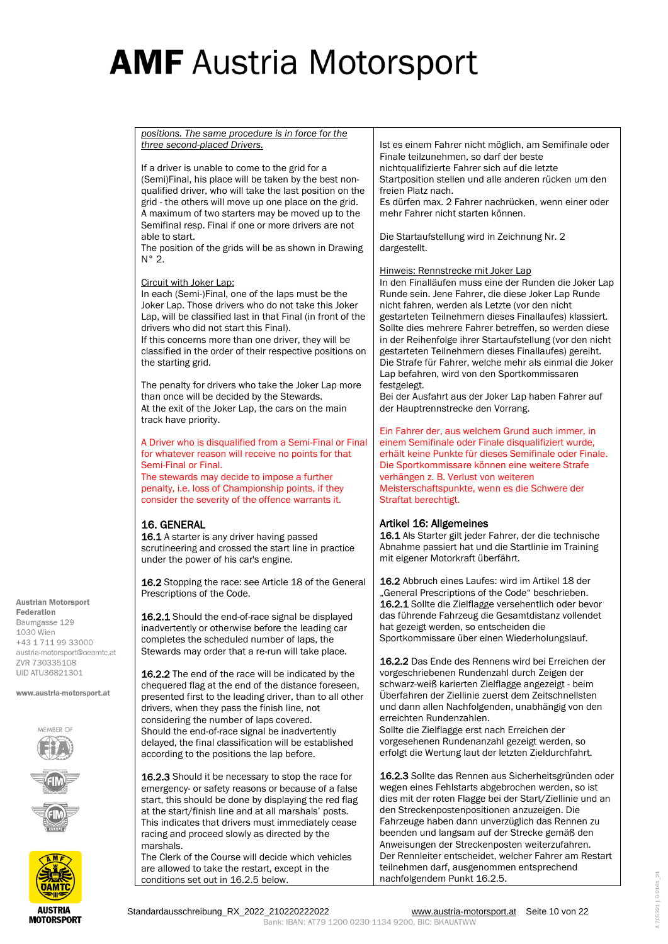*positions. The same procedure is in force for the three second-placed Drivers.* If a driver is unable to come to the grid for a (Semi)Final, his place will be taken by the best nonqualified driver, who will take the last position on the grid - the others will move up one place on the grid. A maximum of two starters may be moved up to the Semifinal resp. Final if one or more drivers are not able to start. The position of the grids will be as shown in Drawing N° 2. Circuit with Joker Lap: In each (Semi-)Final, one of the laps must be the Joker Lap. Those drivers who do not take this Joker Lap, will be classified last in that Final (in front of the drivers who did not start this Final). If this concerns more than one driver, they will be classified in the order of their respective positions on the starting grid. The penalty for drivers who take the Joker Lap more than once will be decided by the Stewards. At the exit of the Joker Lap, the cars on the main track have priority. A Driver who is disqualified from a Semi-Final or Final for whatever reason will receive no points for that Semi-Final or Final. The stewards may decide to impose a further penalty, i.e. loss of Championship points, if they consider the severity of the offence warrants it. 16. GENERAL 16.1 A starter is any driver having passed scrutineering and crossed the start line in practice under the power of his car's engine. 16.2 Stopping the race: see Article 18 of the General Prescriptions of the Code. 16.2.1 Should the end-of-race signal be displayed inadvertently or otherwise before the leading car completes the scheduled number of laps, the Stewards may order that a re-run will take place. 16.2.2 The end of the race will be indicated by the chequered flag at the end of the distance foreseen, presented first to the leading driver, than to all other drivers, when they pass the finish line, not considering the number of laps covered. Should the end-of-race signal be inadvertently delayed, the final classification will be established according to the positions the lap before. 16.2.3 Should it be necessary to stop the race for emergency- or safety reasons or because of a false start, this should be done by displaying the red flag at the start/finish line and at all marshals' posts. This indicates that drivers must immediately cease racing and proceed slowly as directed by the marshals. The Clerk of the Course will decide which vehicles are allowed to take the restart, except in the Ist es einem Fahrer nicht möglich, am Semifinale oder Finale teilzunehmen, so darf der beste nichtqualifizierte Fahrer sich auf die letzte Startposition stellen und alle anderen rücken um den freien Platz nach. Es dürfen max. 2 Fahrer nachrücken, wenn einer oder mehr Fahrer nicht starten können. Die Startaufstellung wird in Zeichnung Nr. 2 dargestellt. Hinweis: Rennstrecke mit Joker Lap In den Finalläufen muss eine der Runden die Joker Lap Runde sein. Jene Fahrer, die diese Joker Lap Runde nicht fahren, werden als Letzte (vor den nicht gestarteten Teilnehmern dieses Finallaufes) klassiert. Sollte dies mehrere Fahrer betreffen, so werden diese in der Reihenfolge ihrer Startaufstellung (vor den nicht gestarteten Teilnehmern dieses Finallaufes) gereiht. Die Strafe für Fahrer, welche mehr als einmal die Joker Lap befahren, wird von den Sportkommissaren festgelegt. Bei der Ausfahrt aus der Joker Lap haben Fahrer auf der Hauptrennstrecke den Vorrang. Ein Fahrer der, aus welchem Grund auch immer, in einem Semifinale oder Finale disqualifiziert wurde, erhält keine Punkte für dieses Semifinale oder Finale. Die Sportkommissare können eine weitere Strafe verhängen z. B. Verlust von weiteren Meisterschaftspunkte, wenn es die Schwere der Straftat berechtigt. Artikel 16: Allgemeines 16.1 Als Starter gilt jeder Fahrer, der die technische Abnahme passiert hat und die Startlinie im Training mit eigener Motorkraft überfährt. 16.2 Abbruch eines Laufes: wird im Artikel 18 der . General Prescriptions of the Code" beschrieben. 16.2.1 Sollte die Zielflagge versehentlich oder bevor das führende Fahrzeug die Gesamtdistanz vollendet hat gezeigt werden, so entscheiden die Sportkommissare über einen Wiederholungslauf. 16.2.2 Das Ende des Rennens wird bei Erreichen der vorgeschriebenen Rundenzahl durch Zeigen der schwarz-weiß karierten Zielflagge angezeigt - beim Überfahren der Ziellinie zuerst dem Zeitschnellsten und dann allen Nachfolgenden, unabhängig von den erreichten Rundenzahlen. Sollte die Zielflagge erst nach Erreichen der vorgesehenen Rundenanzahl gezeigt werden, so erfolgt die Wertung laut der letzten Zieldurchfahrt. 16.2.3 Sollte das Rennen aus Sicherheitsgründen oder wegen eines Fehlstarts abgebrochen werden, so ist dies mit der roten Flagge bei der Start/Ziellinie und an den Streckenpostenpositionen anzuzeigen. Die Fahrzeuge haben dann unverzüglich das Rennen zu beenden und langsam auf der Strecke gemäß den Anweisungen der Streckenposten weiterzufahren. Der Rennleiter entscheidet, welcher Fahrer am Restart teilnehmen darf, ausgenommen entsprechend

**Austrian Motorsport** Federation Baumgasse 129 1030 Wien +43 1 711 99 33000 austria-motorsport@oeamtc.at **7VR 730335108 UID ATU36821301** 

www.austria-motorsport.at



nachfolgendem Punkt 16.2.5.

conditions set out in 16.2.5 below.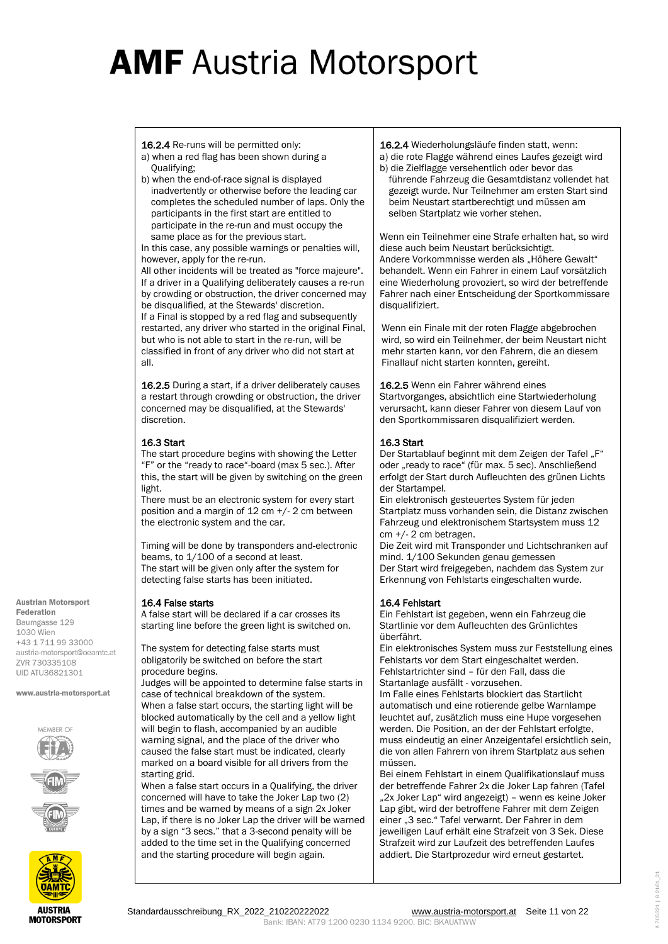16.2.4 Re-runs will be permitted only:

- a) when a red flag has been shown during a Qualifying;
- b) when the end-of-race signal is displayed inadvertently or otherwise before the leading car completes the scheduled number of laps. Only the participants in the first start are entitled to participate in the re-run and must occupy the same place as for the previous start.

In this case, any possible warnings or penalties will, however, apply for the re-run.

All other incidents will be treated as "force majeure". If a driver in a Qualifying deliberately causes a re-run by crowding or obstruction, the driver concerned may be disqualified, at the Stewards' discretion. If a Final is stopped by a red flag and subsequently restarted, any driver who started in the original Final, but who is not able to start in the re-run, will be classified in front of any driver who did not start at all.

16.2.5 During a start, if a driver deliberately causes a restart through crowding or obstruction, the driver concerned may be disqualified, at the Stewards' discretion.

### 16.3 Start

The start procedure begins with showing the Letter "F" or the "ready to race"-board (max 5 sec.). After this, the start will be given by switching on the green light.

There must be an electronic system for every start position and a margin of 12 cm +/- 2 cm between the electronic system and the car.

Timing will be done by transponders and electronic beams, to 1/100 of a second at least. The start will be given only after the system for detecting false starts has been initiated.

### 16.4 False starts

A false start will be declared if a car crosses its starting line before the green light is switched on.

The system for detecting false starts must obligatorily be switched on before the start procedure begins.

Judges will be appointed to determine false starts in case of technical breakdown of the system. When a false start occurs, the starting light will be blocked automatically by the cell and a yellow light will begin to flash, accompanied by an audible warning signal, and the place of the driver who caused the false start must be indicated, clearly marked on a board visible for all drivers from the starting grid.

When a false start occurs in a Qualifying, the driver concerned will have to take the Joker Lap two (2) times and be warned by means of a sign 2x Joker Lap, if there is no Joker Lap the driver will be warned by a sign "3 secs." that a 3-second penalty will be added to the time set in the Qualifying concerned and the starting procedure will begin again.

16.2.4 Wiederholungsläufe finden statt, wenn:

a) die rote Flagge während eines Laufes gezeigt wird

b) die Zielflagge versehentlich oder bevor das führende Fahrzeug die Gesamtdistanz vollendet hat gezeigt wurde. Nur Teilnehmer am ersten Start sind beim Neustart startberechtigt und müssen am selben Startplatz wie vorher stehen.

Wenn ein Teilnehmer eine Strafe erhalten hat, so wird diese auch beim Neustart berücksichtigt.

Andere Vorkommnisse werden als "Höhere Gewalt" behandelt. Wenn ein Fahrer in einem Lauf vorsätzlich eine Wiederholung provoziert, so wird der betreffende Fahrer nach einer Entscheidung der Sportkommissare disqualifiziert.

Wenn ein Finale mit der roten Flagge abgebrochen wird, so wird ein Teilnehmer, der beim Neustart nicht mehr starten kann, vor den Fahrern, die an diesem Finallauf nicht starten konnten, gereiht.

16.2.5 Wenn ein Fahrer während eines Startvorganges, absichtlich eine Startwiederholung verursacht, kann dieser Fahrer von diesem Lauf von den Sportkommissaren disqualifiziert werden.

### 16.3 Start

Der Startablauf beginnt mit dem Zeigen der Tafel "F" oder "ready to race" (für max. 5 sec). Anschließend erfolgt der Start durch Aufleuchten des grünen Lichts der Startampel.

Ein elektronisch gesteuertes System für jeden Startplatz muss vorhanden sein, die Distanz zwischen Fahrzeug und elektronischem Startsystem muss 12 cm +/- 2 cm betragen.

Die Zeit wird mit Transponder und Lichtschranken auf mind. 1/100 Sekunden genau gemessen Der Start wird freigegeben, nachdem das System zur Erkennung von Fehlstarts eingeschalten wurde.

### 16.4 Fehlstart

Ein Fehlstart ist gegeben, wenn ein Fahrzeug die Startlinie vor dem Aufleuchten des Grünlichtes überfährt.

Ein elektronisches System muss zur Feststellung eines Fehlstarts vor dem Start eingeschaltet werden. Fehlstartrichter sind – für den Fall, dass die Startanlage ausfällt - vorzusehen.

Im Falle eines Fehlstarts blockiert das Startlicht automatisch und eine rotierende gelbe Warnlampe leuchtet auf, zusätzlich muss eine Hupe vorgesehen werden. Die Position, an der der Fehlstart erfolgte, muss eindeutig an einer Anzeigentafel ersichtlich sein, die von allen Fahrern von ihrem Startplatz aus sehen müssen.

Bei einem Fehlstart in einem Qualifikationslauf muss der betreffende Fahrer 2x die Joker Lap fahren (Tafel "2x Joker Lap" wird angezeigt) - wenn es keine Joker Lap gibt, wird der betroffene Fahrer mit dem Zeigen einer "3 sec." Tafel verwarnt. Der Fahrer in dem jeweiligen Lauf erhält eine Strafzeit von 3 Sek. Diese Strafzeit wird zur Laufzeit des betreffenden Laufes addiert. Die Startprozedur wird erneut gestartet.

Federation Baumgasse 129 1030 Wien +43 1 711 99 33000 austria-motorsport@oeamtc.at **7VR 730335108 UID ATU36821301** 

**Austrian Motorsport** 

www.austria-motorsport.at



**MOTORSPORT**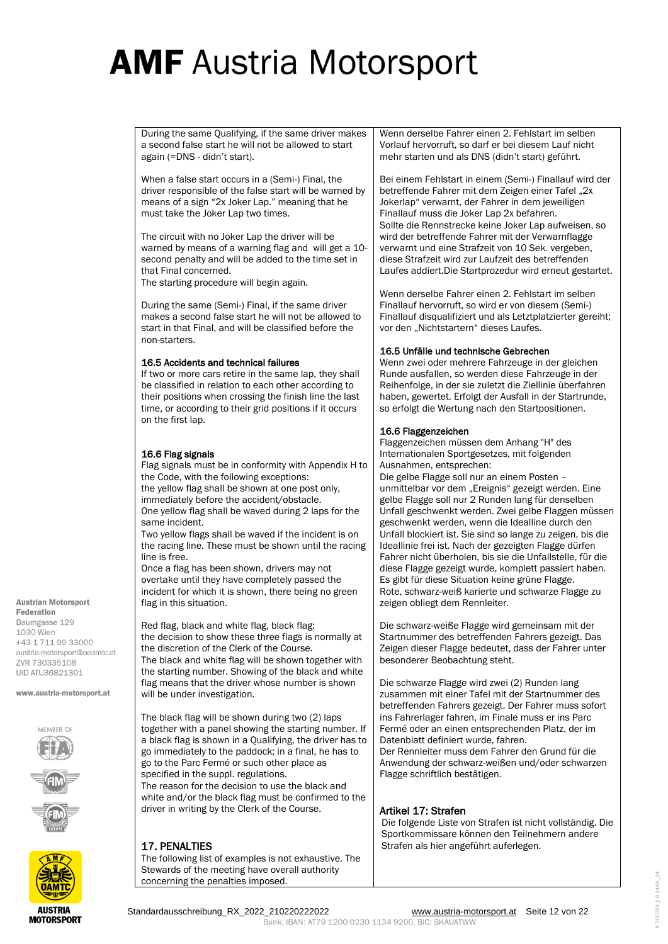During the same Qualifying, if the same driver makes a second false start he will not be allowed to start again (=DNS - didn't start).

When a false start occurs in a (Semi-) Final, the driver responsible of the false start will be warned by means of a sign "2x Joker Lap." meaning that he must take the Joker Lap two times.

The circuit with no Joker Lap the driver will be warned by means of a warning flag and will get a 10 second penalty and will be added to the time set in that Final concerned.

The starting procedure will begin again.

During the same (Semi-) Final, if the same driver makes a second false start he will not be allowed to start in that Final, and will be classified before the non-starters.

#### 16.5 Accidents and technical failures

If two or more cars retire in the same lap, they shall be classified in relation to each other according to their positions when crossing the finish line the last time, or according to their grid positions if it occurs on the first lap.

#### 16.6 Flag signals

Flag signals must be in conformity with Appendix H to the Code, with the following exceptions: the yellow flag shall be shown at one post only, immediately before the accident/obstacle. One yellow flag shall be waved during 2 laps for the same incident.

Two yellow flags shall be waved if the incident is on the racing line. These must be shown until the racing line is free.

Once a flag has been shown, drivers may not overtake until they have completely passed the incident for which it is shown, there being no green flag in this situation.

Red flag, black and white flag, black flag: the decision to show these three flags is normally at the discretion of the Clerk of the Course. The black and white flag will be shown together with the starting number. Showing of the black and white flag means that the driver whose number is shown will be under investigation.

The black flag will be shown during two (2) laps together with a panel showing the starting number. If a black flag is shown in a Qualifying, the driver has to go immediately to the paddock; in a final, he has to go to the Parc Fermé or such other place as specified in the suppl. regulations. The reason for the decision to use the black and white and/or the black flag must be confirmed to the driver in writing by the Clerk of the Course.

### 17. PENALTIES

The following list of examples is not exhaustive. The Stewards of the meeting have overall authority concerning the penalties imposed.

Wenn derselbe Fahrer einen 2. Fehlstart im selben Vorlauf hervorruft, so darf er bei diesem Lauf nicht mehr starten und als DNS (didn't start) geführt.

Bei einem Fehlstart in einem (Semi-) Finallauf wird der betreffende Fahrer mit dem Zeigen einer Tafel "2x Jokerlap" verwarnt, der Fahrer in dem jeweiligen Finallauf muss die Joker Lap 2x befahren. Sollte die Rennstrecke keine Joker Lap aufweisen, so wird der betreffende Fahrer mit der Verwarnflagge verwarnt und eine Strafzeit von 10 Sek. vergeben, diese Strafzeit wird zur Laufzeit des betreffenden Laufes addiert.Die Startprozedur wird erneut gestartet.

Wenn derselbe Fahrer einen 2. Fehlstart im selben Finallauf hervorruft, so wird er von diesem (Semi-) Finallauf disqualifiziert und als Letztplatzierter gereiht; vor den "Nichtstartern" dieses Laufes.

### 16.5 Unfälle und technische Gebrechen

Wenn zwei oder mehrere Fahrzeuge in der gleichen Runde ausfallen, so werden diese Fahrzeuge in der Reihenfolge, in der sie zuletzt die Ziellinie überfahren haben, gewertet. Erfolgt der Ausfall in der Startrunde, so erfolgt die Wertung nach den Startpositionen.

#### 16.6 Flaggenzeichen

Flaggenzeichen müssen dem Anhang "H" des Internationalen Sportgesetzes, mit folgenden Ausnahmen, entsprechen: Die gelbe Flagge soll nur an einem Posten – unmittelbar vor dem "Ereignis" gezeigt werden. Eine gelbe Flagge soll nur 2 Runden lang für denselben Unfall geschwenkt werden. Zwei gelbe Flaggen müssen geschwenkt werden, wenn die Idealline durch den Unfall blockiert ist. Sie sind so lange zu zeigen, bis die Ideallinie frei ist. Nach der gezeigten Flagge dürfen Fahrer nicht überholen, bis sie die Unfallstelle, für die diese Flagge gezeigt wurde, komplett passiert haben. Es gibt für diese Situation keine grüne Flagge. Rote, schwarz-weiß karierte und schwarze Flagge zu zeigen obliegt dem Rennleiter.

Die schwarz-weiße Flagge wird gemeinsam mit der Startnummer des betreffenden Fahrers gezeigt. Das Zeigen dieser Flagge bedeutet, dass der Fahrer unter besonderer Beobachtung steht.

Die schwarze Flagge wird zwei (2) Runden lang zusammen mit einer Tafel mit der Startnummer des betreffenden Fahrers gezeigt. Der Fahrer muss sofort ins Fahrerlager fahren, im Finale muss er ins Parc Fermé oder an einen entsprechenden Platz, der im Datenblatt definiert wurde, fahren. Der Rennleiter muss dem Fahrer den Grund für die Anwendung der schwarz-weißen und/oder schwarzen Flagge schriftlich bestätigen.

#### Artikel 17: Strafen

Die folgende Liste von Strafen ist nicht vollständig. Die Sportkommissare können den Teilnehmern andere Strafen als hier angeführt auferlegen.

Federation Baumgasse 129 1030 Wien +43 1 711 99 33000

**Austrian Motorsport** 

austria-motorsport@oeamtc.at **7VR 730335108 UID ATU36821301** 

www.austria-motorsport.at



#### Standardausschreibung\_RX\_2022\_210220222022 [www.austria-motorsport.at](http://www.austria-motorsport.at/) Seite 12 von 22 Bank: IBAN: AT79 1200 0230 1134 9200, BIC: BKAUATWW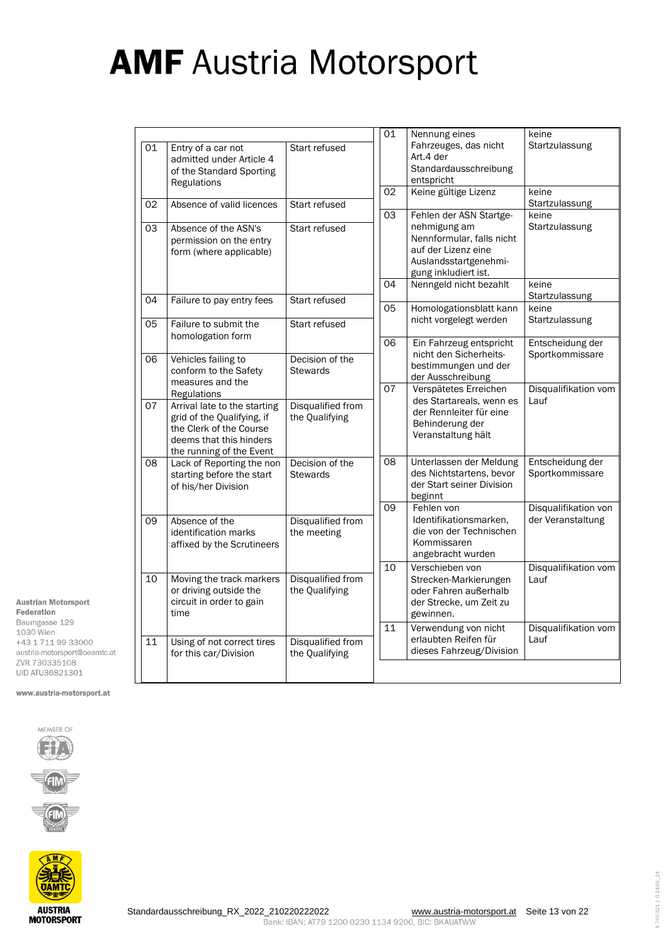|    |                                                                                                                                              |                                     | $\overline{0}1$ | Nennung eines                                                                                                                                | keine                                     |
|----|----------------------------------------------------------------------------------------------------------------------------------------------|-------------------------------------|-----------------|----------------------------------------------------------------------------------------------------------------------------------------------|-------------------------------------------|
| 01 | Entry of a car not<br>admitted under Article 4<br>of the Standard Sporting<br>Regulations                                                    | Start refused                       |                 | Fahrzeuges, das nicht<br>Art.4 der<br>Standardausschreibung<br>entspricht                                                                    | Startzulassung                            |
| 02 | Absence of valid licences                                                                                                                    | Start refused                       | 02              | Keine gültige Lizenz                                                                                                                         | keine<br>Startzulassung                   |
| 03 | Absence of the ASN's<br>permission on the entry<br>form (where applicable)                                                                   | Start refused                       | 03              | Fehlen der ASN Startge-<br>nehmigung am<br>Nennformular, falls nicht<br>auf der Lizenz eine<br>Auslandsstartgenehmi-<br>gung inkludiert ist. | keine<br>Startzulassung                   |
| 04 | Failure to pay entry fees                                                                                                                    | Start refused                       | 04              | Nenngeld nicht bezahlt                                                                                                                       | keine<br>Startzulassung                   |
| 05 | Failure to submit the                                                                                                                        | Start refused                       | 05              | Homologationsblatt kann<br>nicht vorgelegt werden                                                                                            | keine<br>Startzulassung                   |
|    | homologation form                                                                                                                            |                                     | 06              | Ein Fahrzeug entspricht                                                                                                                      | Entscheidung der                          |
| 06 | Vehicles failing to<br>conform to the Safety<br>measures and the                                                                             | Decision of the<br><b>Stewards</b>  |                 | nicht den Sicherheits-<br>bestimmungen und der<br>der Ausschreibung                                                                          | Sportkommissare                           |
|    | Regulations                                                                                                                                  |                                     | 07              | Verspätetes Erreichen<br>des Startareals, wenn es                                                                                            | Disqualifikation vom<br>Lauf              |
| 07 | Arrival late to the starting<br>grid of the Qualifying, if<br>the Clerk of the Course<br>deems that this hinders<br>the running of the Event | Disqualified from<br>the Qualifying |                 | der Rennleiter für eine<br>Behinderung der<br>Veranstaltung hält                                                                             |                                           |
| 08 | Lack of Reporting the non<br>starting before the start<br>of his/her Division                                                                | Decision of the<br><b>Stewards</b>  | 08              | Unterlassen der Meldung<br>des Nichtstartens, bevor<br>der Start seiner Division<br>beginnt                                                  | Entscheidung der<br>Sportkommissare       |
| 09 | Absence of the<br>identification marks<br>affixed by the Scrutineers                                                                         | Disqualified from<br>the meeting    | $\overline{09}$ | Fehlen von<br>Identifikationsmarken,<br>die von der Technischen<br>Kommissaren<br>angebracht wurden                                          | Disqualifikation von<br>der Veranstaltung |
| 10 | Moving the track markers<br>or driving outside the<br>circuit in order to gain<br>time                                                       | Disqualified from<br>the Qualifying | 10              | Verschieben von<br>Strecken-Markierungen<br>oder Fahren außerhalb<br>der Strecke, um Zeit zu<br>gewinnen.                                    | Disqualifikation vom<br>Lauf              |
| 11 | Using of not correct tires<br>for this car/Division                                                                                          | Disqualified from<br>the Qualifying | 11              | Verwendung von nicht<br>erlaubten Reifen für<br>dieses Fahrzeug/Division                                                                     | Disqualifikation vom<br>Lauf              |
|    |                                                                                                                                              |                                     |                 |                                                                                                                                              |                                           |

UID ATU36821301 www.austria-motorsport.at

Austrian Motorsport Federation Baumgasse 129 1030 Wien +43 1 711 99 33000 austria-motorsport@oeamtc.at ZVR 730335108





A 705321 | G 2161\_21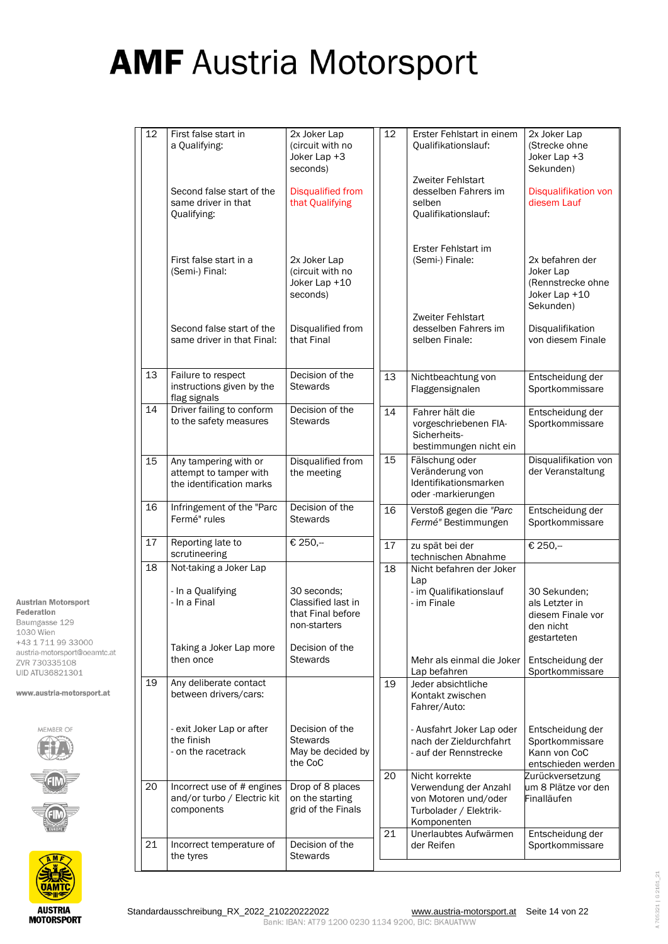| 12              | First false start in<br>a Qualifying:                                                  | 2x Joker Lap<br>(circuit with no<br>Joker Lap +3<br>seconds)                              | 12              | Erster Fehlstart in einem<br>Qualifikationslauf:                                                | 2x Joker Lap<br>(Strecke ohne<br>Joker Lap +3<br>Sekunden)                      |
|-----------------|----------------------------------------------------------------------------------------|-------------------------------------------------------------------------------------------|-----------------|-------------------------------------------------------------------------------------------------|---------------------------------------------------------------------------------|
|                 | Second false start of the<br>same driver in that<br>Qualifying:                        | <b>Disqualified from</b><br>that Qualifying                                               |                 | Zweiter Fehlstart<br>desselben Fahrers im<br>selben<br>Qualifikationslauf:                      | Disqualifikation von<br>diesem Lauf                                             |
|                 | First false start in a<br>(Semi-) Final:                                               | 2x Joker Lap<br>(circuit with no<br>Joker Lap +10<br>seconds)                             |                 | Erster Fehlstart im<br>(Semi-) Finale:                                                          | 2x befahren der<br>Joker Lap<br>(Rennstrecke ohne<br>Joker Lap +10<br>Sekunden) |
|                 | Second false start of the<br>same driver in that Final:                                | Disqualified from<br>that Final                                                           |                 | Zweiter Fehlstart<br>desselben Fahrers im<br>selben Finale:                                     | Disqualifikation<br>von diesem Finale                                           |
| 13              | Failure to respect<br>instructions given by the<br>flag signals                        | Decision of the<br><b>Stewards</b>                                                        | 13              | Nichtbeachtung von<br>Flaggensignalen                                                           | Entscheidung der<br>Sportkommissare                                             |
| $\overline{14}$ | Driver failing to conform<br>to the safety measures                                    | Decision of the<br><b>Stewards</b>                                                        | $\overline{14}$ | Fahrer hält die<br>vorgeschriebenen FIA-<br>Sicherheits-<br>bestimmungen nicht ein              | Entscheidung der<br>Sportkommissare                                             |
| 15              | Any tampering with or<br>attempt to tamper with<br>the identification marks            | Disqualified from<br>the meeting                                                          | 15              | Fälschung oder<br>Veränderung von<br>Identifikationsmarken<br>oder-markierungen                 | Disqualifikation von<br>der Veranstaltung                                       |
| 16              | Infringement of the "Parc<br>Fermé" rules                                              | Decision of the<br><b>Stewards</b>                                                        | 16              | Verstoß gegen die "Parc<br>Fermé" Bestimmungen                                                  | Entscheidung der<br>Sportkommissare                                             |
| 17              | Reporting late to<br>scrutineering                                                     | € 250,-                                                                                   | 17              | zu spät bei der<br>technischen Abnahme                                                          | € 250,-                                                                         |
| 18              | Not-taking a Joker Lap<br>- In a Qualifying<br>- In a Final<br>Taking a Joker Lap more | 30 seconds;<br>Classified last in<br>that Final before<br>non-starters<br>Decision of the | 18              | Nicht befahren der Joker<br>Lap<br>- im Qualifikationslauf<br>- im Finale                       | 30 Sekunden;<br>als Letzter in<br>diesem Finale vor<br>den nicht<br>gestarteten |
|                 | then once                                                                              | <b>Stewards</b>                                                                           |                 | Mehr als einmal die Joker<br>Lap befahren                                                       | Entscheidung der<br>Sportkommissare                                             |
| 19              | Any deliberate contact<br>between drivers/cars:                                        |                                                                                           | 19              | Jeder absichtliche<br>Kontakt zwischen<br>Fahrer/Auto:                                          |                                                                                 |
|                 | - exit Joker Lap or after<br>the finish<br>- on the racetrack                          | Decision of the<br><b>Stewards</b><br>May be decided by<br>the CoC                        | 20              | - Ausfahrt Joker Lap oder<br>nach der Zieldurchfahrt<br>- auf der Rennstrecke<br>Nicht korrekte | Entscheidung der<br>Sportkommissare<br>Kann von CoC<br>entschieden werden       |
| 20              | Incorrect use of # engines<br>and/or turbo / Electric kit<br>components                | Drop of 8 places<br>on the starting<br>grid of the Finals                                 |                 | Verwendung der Anzahl<br>von Motoren und/oder<br>Turbolader / Elektrik-<br>Komponenten          | Zurückversetzung<br>um 8 Plätze vor den<br>Finalläufen                          |
| 21              | Incorrect temperature of<br>the tyres                                                  | Decision of the<br><b>Stewards</b>                                                        | 21              | Unerlaubtes Aufwärmen<br>der Reifen                                                             | Entscheidung der<br>Sportkommissare                                             |

Baumgasse 129 1030 Wien +43 1 711 99 33000 austria-motorsport@oeamtc.at ZVR 730335108 UID ATU36821301 www.austria-motorsport.at

Austrian Motorsport Federation



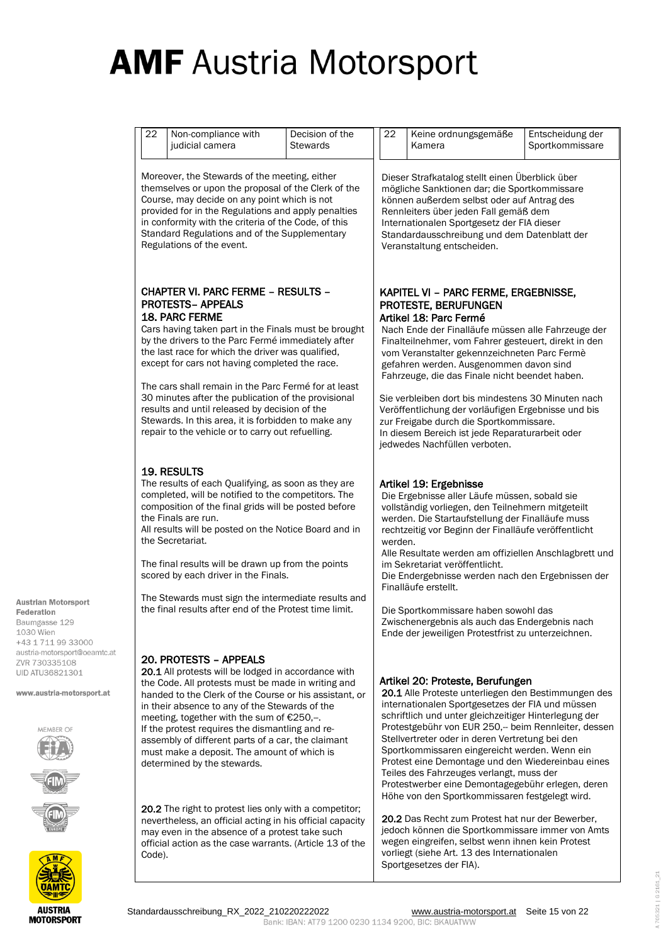| 22     | Non-compliance with<br>judicial camera                                                                                                                                                                                                                                                                                                                                                                                                                                                                                                                                                          | Decision of the<br><b>Stewards</b> | 22      | Keine ordnungsgemäße<br>Kamera                                                                                                                                                                                                                                                                                                                                                                                                                                                                                                                                                                | Entscheidung der<br>Sportkommissare |
|--------|-------------------------------------------------------------------------------------------------------------------------------------------------------------------------------------------------------------------------------------------------------------------------------------------------------------------------------------------------------------------------------------------------------------------------------------------------------------------------------------------------------------------------------------------------------------------------------------------------|------------------------------------|---------|-----------------------------------------------------------------------------------------------------------------------------------------------------------------------------------------------------------------------------------------------------------------------------------------------------------------------------------------------------------------------------------------------------------------------------------------------------------------------------------------------------------------------------------------------------------------------------------------------|-------------------------------------|
|        | Moreover, the Stewards of the meeting, either<br>themselves or upon the proposal of the Clerk of the<br>Course, may decide on any point which is not<br>provided for in the Regulations and apply penalties<br>in conformity with the criteria of the Code, of this<br>Standard Regulations and of the Supplementary<br>Regulations of the event.                                                                                                                                                                                                                                               |                                    |         | Dieser Strafkatalog stellt einen Überblick über<br>mögliche Sanktionen dar; die Sportkommissare<br>können außerdem selbst oder auf Antrag des<br>Rennleiters über jeden Fall gemäß dem<br>Internationalen Sportgesetz der FIA dieser<br>Standardausschreibung und dem Datenblatt der<br>Veranstaltung entscheiden.                                                                                                                                                                                                                                                                            |                                     |
|        | <b>CHAPTER VI. PARC FERME - RESULTS -</b><br><b>PROTESTS- APPEALS</b><br><b>18. PARC FERME</b><br>Cars having taken part in the Finals must be brought<br>by the drivers to the Parc Fermé immediately after<br>the last race for which the driver was qualified,<br>except for cars not having completed the race.<br>The cars shall remain in the Parc Fermé for at least<br>30 minutes after the publication of the provisional<br>results and until released by decision of the<br>Stewards. In this area, it is forbidden to make any<br>repair to the vehicle or to carry out refuelling. |                                    |         | KAPITEL VI - PARC FERME, ERGEBNISSE,<br>PROTESTE, BERUFUNGEN<br>Artikel 18: Parc Fermé<br>Nach Ende der Finalläufe müssen alle Fahrzeuge der<br>Finalteilnehmer, vom Fahrer gesteuert, direkt in den<br>vom Veranstalter gekennzeichneten Parc Fermè<br>gefahren werden. Ausgenommen davon sind<br>Fahrzeuge, die das Finale nicht beendet haben.<br>Sie verbleiben dort bis mindestens 30 Minuten nach<br>Veröffentlichung der vorläufigen Ergebnisse und bis<br>zur Freigabe durch die Sportkommissare.<br>In diesem Bereich ist jede Reparaturarbeit oder<br>jedwedes Nachfüllen verboten. |                                     |
|        | <b>19. RESULTS</b><br>The results of each Qualifying, as soon as they are<br>completed, will be notified to the competitors. The<br>composition of the final grids will be posted before<br>the Finals are run.<br>All results will be posted on the Notice Board and in<br>the Secretariat.<br>The final results will be drawn up from the points<br>scored by each driver in the Finals.<br>The Stewards must sign the intermediate results and<br>the final results after end of the Protest time limit.                                                                                     |                                    | werden. | Artikel 19: Ergebnisse<br>Die Ergebnisse aller Läufe müssen, sobald sie<br>vollständig vorliegen, den Teilnehmern mitgeteilt<br>werden. Die Startaufstellung der Finalläufe muss<br>rechtzeitig vor Beginn der Finalläufe veröffentlicht<br>Alle Resultate werden am offiziellen Anschlagbrett und<br>im Sekretariat veröffentlicht.<br>Die Endergebnisse werden nach den Ergebnissen der<br>Finalläufe erstellt.<br>Die Sportkommissare haben sowohl das<br>Zwischenergebnis als auch das Endergebnis nach<br>Ende der jeweiligen Protestfrist zu unterzeichnen.                             |                                     |
|        | 20. PROTESTS - APPEALS<br>20.1 All protests will be lodged in accordance with<br>the Code. All protests must be made in writing and<br>handed to the Clerk of the Course or his assistant, or<br>in their absence to any of the Stewards of the<br>meeting, together with the sum of €250,-.<br>If the protest requires the dismantling and re-<br>assembly of different parts of a car, the claimant<br>must make a deposit. The amount of which is<br>determined by the stewards.                                                                                                             |                                    |         | Artikel 20: Proteste, Berufungen<br>20.1 Alle Proteste unterliegen den Bestimmungen des<br>internationalen Sportgesetzes der FIA und müssen<br>schriftlich und unter gleichzeitiger Hinterlegung der<br>Protestgebühr von EUR 250,- beim Rennleiter, dessen<br>Stellvertreter oder in deren Vertretung bei den<br>Sportkommissaren eingereicht werden. Wenn ein<br>Protest eine Demontage und den Wiedereinbau eines<br>Teiles des Fahrzeuges verlangt, muss der<br>Protestwerber eine Demontagegebühr erlegen, deren<br>Höhe von den Sportkommissaren festgelegt wird.                       |                                     |
| Code). | <b>20.2</b> The right to protest lies only with a competitor;<br>nevertheless, an official acting in his official capacity<br>may even in the absence of a protest take such<br>official action as the case warrants. (Article 13 of the                                                                                                                                                                                                                                                                                                                                                        |                                    |         | 20.2 Das Recht zum Protest hat nur der Bewerber,<br>jedoch können die Sportkommissare immer von Amts<br>wegen eingreifen, selbst wenn ihnen kein Protest<br>vorliegt (siehe Art. 13 des Internationalen<br>Sportgesetzes der FIA).                                                                                                                                                                                                                                                                                                                                                            |                                     |

www.austria-motorsport.at

MEMBER OF



A 705321 | G 2161\_21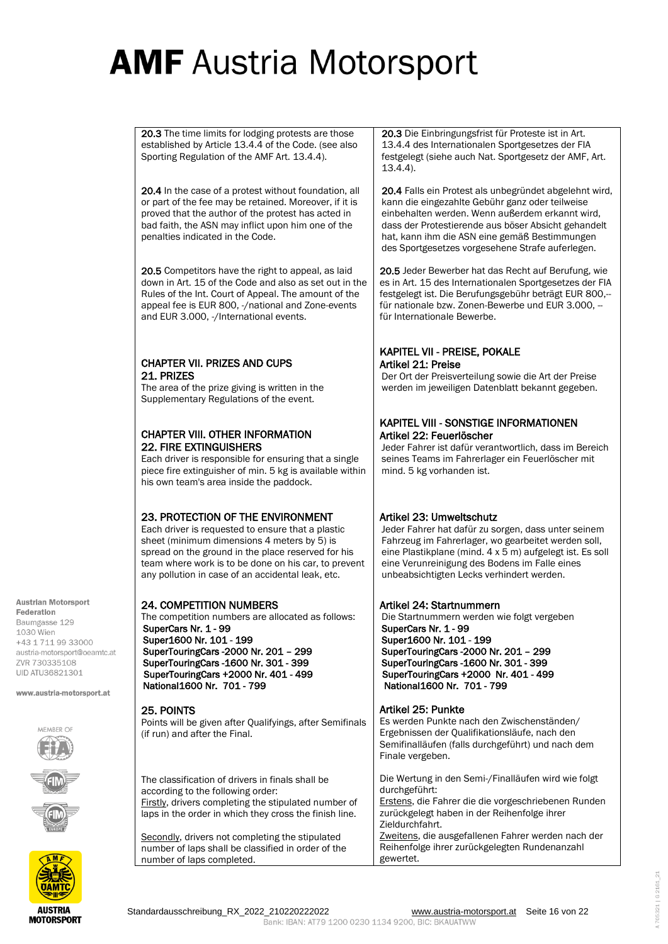20.3 The time limits for lodging protests are those established by Article 13.4.4 of the Code. (see also Sporting Regulation of the AMF Art. 13.4.4).

20.4 In the case of a protest without foundation, all or part of the fee may be retained. Moreover, if it is proved that the author of the protest has acted in bad faith, the ASN may inflict upon him one of the penalties indicated in the Code.

20.5 Competitors have the right to appeal, as laid down in Art. 15 of the Code and also as set out in the Rules of the Int. Court of Appeal. The amount of the appeal fee is EUR 800, -/national and Zone-events and EUR 3.000, -/International events.

### CHAPTER VII. PRIZES AND CUPS 21. PRIZES

The area of the prize giving is written in the Supplementary Regulations of the event.

### CHAPTER VIII. OTHER INFORMATION 22. FIRE EXTINGUISHERS

Each driver is responsible for ensuring that a single piece fire extinguisher of min. 5 kg is available within his own team's area inside the paddock.

### 23. PROTECTION OF THE ENVIRONMENT

Each driver is requested to ensure that a plastic sheet (minimum dimensions 4 meters by 5) is spread on the ground in the place reserved for his team where work is to be done on his car, to prevent any pollution in case of an accidental leak, etc.

### 24. COMPETITION NUMBERS

The competition numbers are allocated as follows: SuperCars Nr. 1 - 99 Super1600 Nr. 101 - 199 SuperTouringCars -2000 Nr. 201 – 299 SuperTouringCars -1600 Nr. 301 - 399 SuperTouringCars +2000 Nr. 401 - 499 National1600 Nr. 701 - 799

### 25. POINTS

Points will be given after Qualifyings, after Semifinals (if run) and after the Final.

The classification of drivers in finals shall be according to the following order: Firstly, drivers completing the stipulated number of laps in the order in which they cross the finish line.

Secondly, drivers not completing the stipulated number of laps shall be classified in order of the number of laps completed.

20.3 Die Einbringungsfrist für Proteste ist in Art. 13.4.4 des Internationalen Sportgesetzes der FIA festgelegt (siehe auch Nat. Sportgesetz der AMF, Art. 13.4.4).

20.4 Falls ein Protest als unbegründet abgelehnt wird, kann die eingezahlte Gebühr ganz oder teilweise einbehalten werden. Wenn außerdem erkannt wird, dass der Protestierende aus böser Absicht gehandelt hat, kann ihm die ASN eine gemäß Bestimmungen des Sportgesetzes vorgesehene Strafe auferlegen.

20.5 Jeder Bewerber hat das Recht auf Berufung, wie es in Art. 15 des Internationalen Sportgesetzes der FIA festgelegt ist. Die Berufungsgebühr beträgt EUR 800,- für nationale bzw. Zonen-Bewerbe und EUR 3.000. für Internationale Bewerbe.

### KAPITEL VII - PREISE, POKALE Artikel 21: Preise

Der Ort der Preisverteilung sowie die Art der Preise werden im jeweiligen Datenblatt bekannt gegeben.

### KAPITEL VIII - SONSTIGE INFORMATIONEN Artikel 22: Feuerlöscher

Jeder Fahrer ist dafür verantwortlich, dass im Bereich seines Teams im Fahrerlager ein Feuerlöscher mit mind. 5 kg vorhanden ist.

### Artikel 23: Umweltschutz

Jeder Fahrer hat dafür zu sorgen, dass unter seinem Fahrzeug im Fahrerlager, wo gearbeitet werden soll, eine Plastikplane (mind. 4 x 5 m) aufgelegt ist. Es soll eine Verunreinigung des Bodens im Falle eines unbeabsichtigten Lecks verhindert werden.

### Artikel 24: Startnummern

Die Startnummern werden wie folgt vergeben SuperCars Nr. 1 - 99 Super1600 Nr. 101 - 199 SuperTouringCars -2000 Nr. 201 – 299 SuperTouringCars -1600 Nr. 301 - 399 SuperTouringCars +2000 Nr. 401 - 499 National1600 Nr. 701 - 799

Artikel 25: Punkte Es werden Punkte nach den Zwischenständen/ Ergebnissen der Qualifikationsläufe, nach den Semifinalläufen (falls durchgeführt) und nach dem Finale vergeben.

Die Wertung in den Semi-/Finalläufen wird wie folgt durchgeführt: Erstens, die Fahrer die die vorgeschriebenen Runden zurückgelegt haben in der Reihenfolge ihrer Zieldurchfahrt. Zweitens, die ausgefallenen Fahrer werden nach der Reihenfolge ihrer zurückgelegten Rundenanzahl gewertet.

Baumgasse 129 1030 Wien +43 1 711 99 33000 austria-motorsport@oeamtc.at **7VR 730335108** 

**Austrian Motorsport** Federation

www.austria-motorsport.at

**UID ATU36821301** 

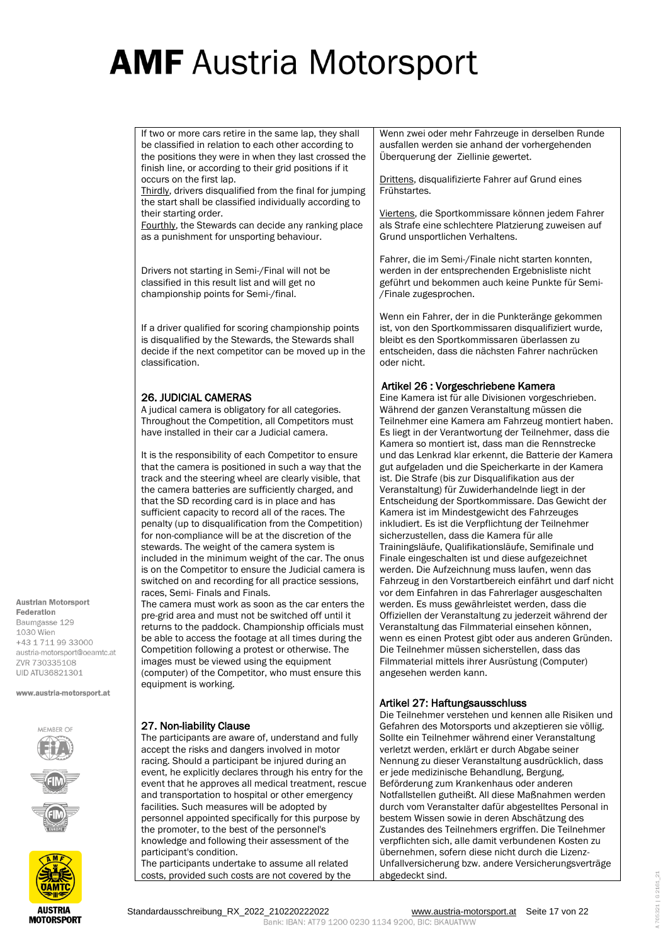If two or more cars retire in the same lap, they shall be classified in relation to each other according to the positions they were in when they last crossed the finish line, or according to their grid positions if it occurs on the first lap.

Thirdly, drivers disqualified from the final for jumping the start shall be classified individually according to their starting order.

Fourthly, the Stewards can decide any ranking place as a punishment for unsporting behaviour.

Drivers not starting in Semi-/Final will not be classified in this result list and will get no championship points for Semi-/final.

If a driver qualified for scoring championship points is disqualified by the Stewards, the Stewards shall decide if the next competitor can be moved up in the classification.

### 26. JUDICIAL CAMERAS

A judical camera is obligatory for all categories. Throughout the Competition, all Competitors must have installed in their car a Judicial camera.

It is the responsibility of each Competitor to ensure that the camera is positioned in such a way that the track and the steering wheel are clearly visible, that the camera batteries are sufficiently charged, and that the SD recording card is in place and has sufficient capacity to record all of the races. The penalty (up to disqualification from the Competition) for non-compliance will be at the discretion of the stewards. The weight of the camera system is included in the minimum weight of the car. The onus is on the Competitor to ensure the Judicial camera is switched on and recording for all practice sessions, races, Semi- Finals and Finals.

The camera must work as soon as the car enters the pre-grid area and must not be switched off until it returns to the paddock. Championship officials must be able to access the footage at all times during the Competition following a protest or otherwise. The images must be viewed using the equipment (computer) of the Competitor, who must ensure this equipment is working.

www.austria-motorsport.at

**Austrian Motorsport** Federation Baumgasse 129 1030 Wien +43 1 711 99 33000 austria-motorsport@oeamtc.at **7VR 730335108 UID ATU36821301** 



**AUSTRIA MOTORSPORT** 

### 27. Non-liability Clause

The participants are aware of, understand and fully accept the risks and dangers involved in motor racing. Should a participant be injured during an event, he explicitly declares through his entry for the event that he approves all medical treatment, rescue and transportation to hospital or other emergency facilities. Such measures will be adopted by personnel appointed specifically for this purpose by the promoter, to the best of the personnel's knowledge and following their assessment of the participant's condition.

The participants undertake to assume all related costs, provided such costs are not covered by the

Wenn zwei oder mehr Fahrzeuge in derselben Runde ausfallen werden sie anhand der vorhergehenden Überquerung der Ziellinie gewertet.

Drittens, disqualifizierte Fahrer auf Grund eines Frühstartes.

Viertens, die Sportkommissare können jedem Fahrer als Strafe eine schlechtere Platzierung zuweisen auf Grund unsportlichen Verhaltens.

Fahrer, die im Semi-/Finale nicht starten konnten, werden in der entsprechenden Ergebnisliste nicht geführt und bekommen auch keine Punkte für Semi- /Finale zugesprochen.

Wenn ein Fahrer, der in die Punkteränge gekommen ist, von den Sportkommissaren disqualifiziert wurde, bleibt es den Sportkommissaren überlassen zu entscheiden, dass die nächsten Fahrer nachrücken oder nicht.

### Artikel 26 : Vorgeschriebene Kamera

Eine Kamera ist für alle Divisionen vorgeschrieben. Während der ganzen Veranstaltung müssen die Teilnehmer eine Kamera am Fahrzeug montiert haben. Es liegt in der Verantwortung der Teilnehmer, dass die Kamera so montiert ist, dass man die Rennstrecke und das Lenkrad klar erkennt, die Batterie der Kamera gut aufgeladen und die Speicherkarte in der Kamera ist. Die Strafe (bis zur Disqualifikation aus der Veranstaltung) für Zuwiderhandelnde liegt in der Entscheidung der Sportkommissare. Das Gewicht der Kamera ist im Mindestgewicht des Fahrzeuges inkludiert. Es ist die Verpflichtung der Teilnehmer sicherzustellen, dass die Kamera für alle Trainingsläufe, Qualifikationsläufe, Semifinale und Finale eingeschalten ist und diese aufgezeichnet werden. Die Aufzeichnung muss laufen, wenn das Fahrzeug in den Vorstartbereich einfährt und darf nicht vor dem Einfahren in das Fahrerlager ausgeschalten werden. Es muss gewährleistet werden, dass die Offiziellen der Veranstaltung zu jederzeit während der Veranstaltung das Filmmaterial einsehen können, wenn es einen Protest gibt oder aus anderen Gründen. Die Teilnehmer müssen sicherstellen, dass das Filmmaterial mittels ihrer Ausrüstung (Computer) angesehen werden kann.

### Artikel 27: Haftungsausschluss

Die Teilnehmer verstehen und kennen alle Risiken und Gefahren des Motorsports und akzeptieren sie völlig. Sollte ein Teilnehmer während einer Veranstaltung verletzt werden, erklärt er durch Abgabe seiner Nennung zu dieser Veranstaltung ausdrücklich, dass er jede medizinische Behandlung, Bergung, Beförderung zum Krankenhaus oder anderen Notfallstellen gutheißt. All diese Maßnahmen werden durch vom Veranstalter dafür abgestelltes Personal in bestem Wissen sowie in deren Abschätzung des Zustandes des Teilnehmers ergriffen. Die Teilnehmer verpflichten sich, alle damit verbundenen Kosten zu übernehmen, sofern diese nicht durch die Lizenz-Unfallversicherung bzw. andere Versicherungsverträge abgedeckt sind.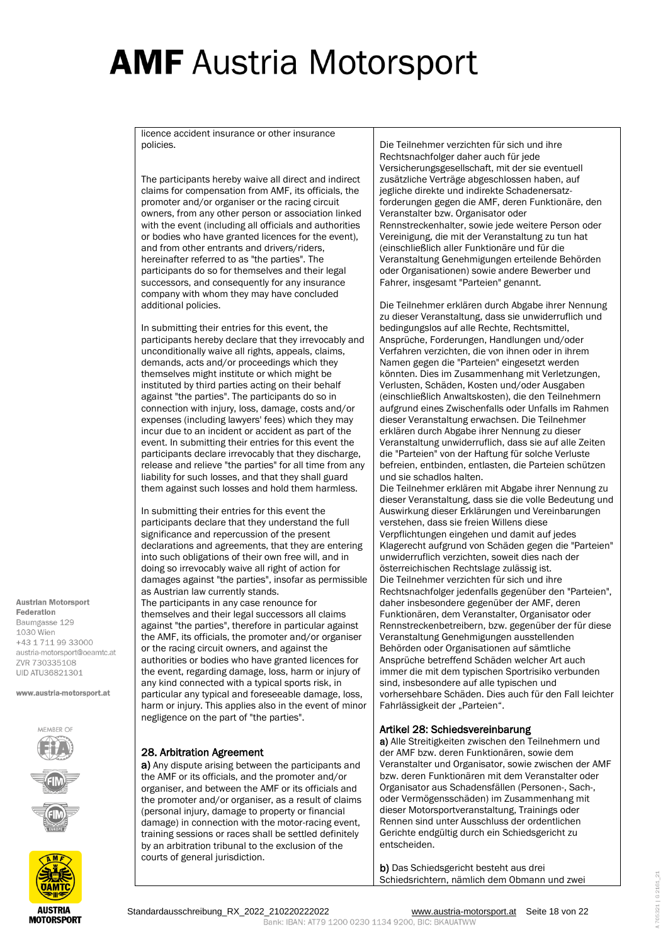licence accident insurance or other insurance policies.

The participants hereby waive all direct and indirect claims for compensation from AMF, its officials, the promoter and/or organiser or the racing circuit owners, from any other person or association linked with the event (including all officials and authorities or bodies who have granted licences for the event), and from other entrants and drivers/riders, hereinafter referred to as "the parties". The participants do so for themselves and their legal successors, and consequently for any insurance company with whom they may have concluded additional policies.

In submitting their entries for this event, the participants hereby declare that they irrevocably and unconditionally waive all rights, appeals, claims, demands, acts and/or proceedings which they themselves might institute or which might be instituted by third parties acting on their behalf against "the parties". The participants do so in connection with injury, loss, damage, costs and/or expenses (including lawyers' fees) which they may incur due to an incident or accident as part of the event. In submitting their entries for this event the participants declare irrevocably that they discharge, release and relieve "the parties" for all time from any liability for such losses, and that they shall guard them against such losses and hold them harmless.

In submitting their entries for this event the participants declare that they understand the full significance and repercussion of the present declarations and agreements, that they are entering into such obligations of their own free will, and in doing so irrevocably waive all right of action for damages against "the parties", insofar as permissible as Austrian law currently stands. The participants in any case renounce for themselves and their legal successors all claims against "the parties", therefore in particular against the AMF, its officials, the promoter and/or organiser or the racing circuit owners, and against the authorities or bodies who have granted licences for the event, regarding damage, loss, harm or injury of any kind connected with a typical sports risk, in particular any typical and foreseeable damage, loss, harm or injury. This applies also in the event of minor negligence on the part of "the parties".

#### Baumgasse 129 1030 Wien +43 1 711 99 33000 austria-motorsport@oeamtc.at **7VR 730335108 UID ATU36821301** www.austria-motorsport.at

**Austrian Motorsport** Federation





28. Arbitration Agreement

a) Any dispute arising between the participants and the AMF or its officials, and the promoter and/or organiser, and between the AMF or its officials and the promoter and/or organiser, as a result of claims (personal injury, damage to property or financial damage) in connection with the motor-racing event, training sessions or races shall be settled definitely by an arbitration tribunal to the exclusion of the courts of general jurisdiction.

Die Teilnehmer verzichten für sich und ihre Rechtsnachfolger daher auch für jede Versicherungsgesellschaft, mit der sie eventuell zusätzliche Verträge abgeschlossen haben, auf jegliche direkte und indirekte Schadenersatzforderungen gegen die AMF, deren Funktionäre, den Veranstalter bzw. Organisator oder Rennstreckenhalter, sowie jede weitere Person oder Vereinigung, die mit der Veranstaltung zu tun hat (einschließlich aller Funktionäre und für die Veranstaltung Genehmigungen erteilende Behörden oder Organisationen) sowie andere Bewerber und Fahrer, insgesamt "Parteien" genannt.

Die Teilnehmer erklären durch Abgabe ihrer Nennung zu dieser Veranstaltung, dass sie unwiderruflich und bedingungslos auf alle Rechte, Rechtsmittel, Ansprüche, Forderungen, Handlungen und/oder Verfahren verzichten, die von ihnen oder in ihrem Namen gegen die "Parteien" eingesetzt werden könnten. Dies im Zusammenhang mit Verletzungen, Verlusten, Schäden, Kosten und/oder Ausgaben (einschließlich Anwaltskosten), die den Teilnehmern aufgrund eines Zwischenfalls oder Unfalls im Rahmen dieser Veranstaltung erwachsen. Die Teilnehmer erklären durch Abgabe ihrer Nennung zu dieser Veranstaltung unwiderruflich, dass sie auf alle Zeiten die "Parteien" von der Haftung für solche Verluste befreien, entbinden, entlasten, die Parteien schützen und sie schadlos halten.

Die Teilnehmer erklären mit Abgabe ihrer Nennung zu dieser Veranstaltung, dass sie die volle Bedeutung und Auswirkung dieser Erklärungen und Vereinbarungen verstehen, dass sie freien Willens diese Verpflichtungen eingehen und damit auf jedes Klagerecht aufgrund von Schäden gegen die "Parteien" unwiderruflich verzichten, soweit dies nach der österreichischen Rechtslage zulässig ist. Die Teilnehmer verzichten für sich und ihre Rechtsnachfolger jedenfalls gegenüber den "Parteien", daher insbesondere gegenüber der AMF, deren Funktionären, dem Veranstalter, Organisator oder Rennstreckenbetreibern, bzw. gegenüber der für diese Veranstaltung Genehmigungen ausstellenden Behörden oder Organisationen auf sämtliche Ansprüche betreffend Schäden welcher Art auch immer die mit dem typischen Sportrisiko verbunden sind, insbesondere auf alle typischen und vorhersehbare Schäden. Dies auch für den Fall leichter Fahrlässigkeit der "Parteien".

### Artikel 28: Schiedsvereinbarung

a) Alle Streitigkeiten zwischen den Teilnehmern und der AMF bzw. deren Funktionären, sowie dem Veranstalter und Organisator, sowie zwischen der AMF bzw. deren Funktionären mit dem Veranstalter oder Organisator aus Schadensfällen (Personen-, Sach-, oder Vermögensschäden) im Zusammenhang mit dieser Motorsportveranstaltung, Trainings oder Rennen sind unter Ausschluss der ordentlichen Gerichte endgültig durch ein Schiedsgericht zu entscheiden.

b) Das Schiedsgericht besteht aus drei Schiedsrichtern, nämlich dem Obmann und zwei

A705321 | G 2161\_21

Standardausschreibung\_RX\_2022\_210220222022 [www.austria-motorsport.at](http://www.austria-motorsport.at/) Seite 18 von 22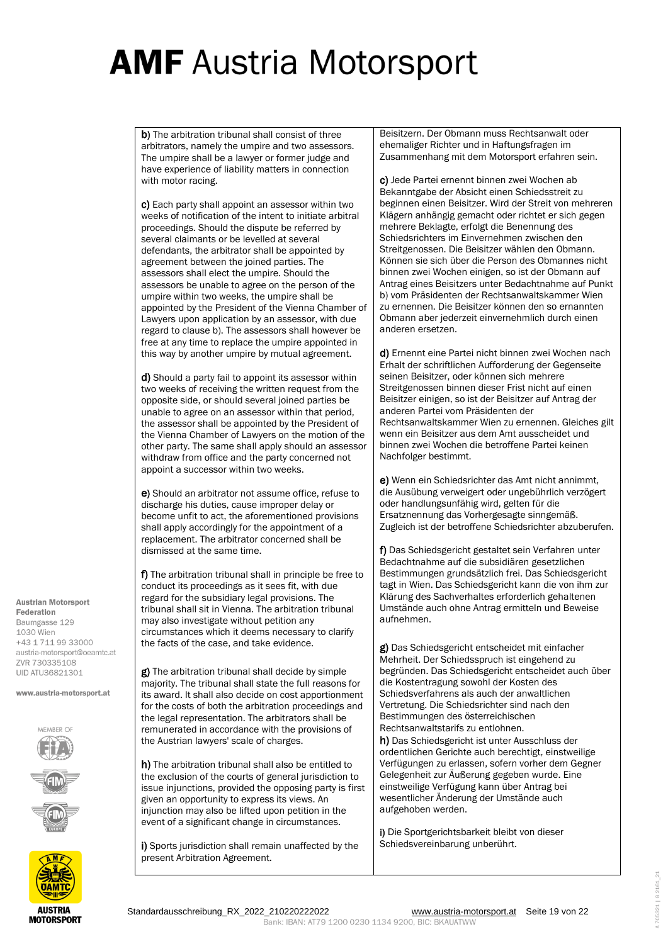b) The arbitration tribunal shall consist of three arbitrators, namely the umpire and two assessors. The umpire shall be a lawyer or former judge and have experience of liability matters in connection with motor racing.

c) Each party shall appoint an assessor within two weeks of notification of the intent to initiate arbitral proceedings. Should the dispute be referred by several claimants or be levelled at several defendants, the arbitrator shall be appointed by agreement between the joined parties. The assessors shall elect the umpire. Should the assessors be unable to agree on the person of the umpire within two weeks, the umpire shall be appointed by the President of the Vienna Chamber of Lawyers upon application by an assessor, with due regard to clause b). The assessors shall however be free at any time to replace the umpire appointed in this way by another umpire by mutual agreement.

d) Should a party fail to appoint its assessor within two weeks of receiving the written request from the opposite side, or should several joined parties be unable to agree on an assessor within that period, the assessor shall be appointed by the President of the Vienna Chamber of Lawyers on the motion of the other party. The same shall apply should an assessor withdraw from office and the party concerned not appoint a successor within two weeks.

e) Should an arbitrator not assume office, refuse to discharge his duties, cause improper delay or become unfit to act, the aforementioned provisions shall apply accordingly for the appointment of a replacement. The arbitrator concerned shall be dismissed at the same time.

f) The arbitration tribunal shall in principle be free to conduct its proceedings as it sees fit, with due regard for the subsidiary legal provisions. The tribunal shall sit in Vienna. The arbitration tribunal may also investigate without petition any circumstances which it deems necessary to clarify the facts of the case, and take evidence.

g) The arbitration tribunal shall decide by simple majority. The tribunal shall state the full reasons for its award. It shall also decide on cost apportionment for the costs of both the arbitration proceedings and the legal representation. The arbitrators shall be remunerated in accordance with the provisions of the Austrian lawyers' scale of charges.

h) The arbitration tribunal shall also be entitled to the exclusion of the courts of general jurisdiction to issue injunctions, provided the opposing party is first given an opportunity to express its views. An injunction may also be lifted upon petition in the event of a significant change in circumstances.

i) Sports jurisdiction shall remain unaffected by the present Arbitration Agreement.

Beisitzern. Der Obmann muss Rechtsanwalt oder ehemaliger Richter und in Haftungsfragen im Zusammenhang mit dem Motorsport erfahren sein.

c) Jede Partei ernennt binnen zwei Wochen ab Bekanntgabe der Absicht einen Schiedsstreit zu beginnen einen Beisitzer. Wird der Streit von mehreren Klägern anhängig gemacht oder richtet er sich gegen mehrere Beklagte, erfolgt die Benennung des Schiedsrichters im Einvernehmen zwischen den Streitgenossen. Die Beisitzer wählen den Obmann. Können sie sich über die Person des Obmannes nicht binnen zwei Wochen einigen, so ist der Obmann auf Antrag eines Beisitzers unter Bedachtnahme auf Punkt b) vom Präsidenten der Rechtsanwaltskammer Wien zu ernennen. Die Beisitzer können den so ernannten Obmann aber jederzeit einvernehmlich durch einen anderen ersetzen.

d) Ernennt eine Partei nicht binnen zwei Wochen nach Erhalt der schriftlichen Aufforderung der Gegenseite seinen Beisitzer, oder können sich mehrere Streitgenossen binnen dieser Frist nicht auf einen Beisitzer einigen, so ist der Beisitzer auf Antrag der anderen Partei vom Präsidenten der Rechtsanwaltskammer Wien zu ernennen. Gleiches gilt wenn ein Beisitzer aus dem Amt ausscheidet und binnen zwei Wochen die betroffene Partei keinen Nachfolger bestimmt.

e) Wenn ein Schiedsrichter das Amt nicht annimmt, die Ausübung verweigert oder ungebührlich verzögert oder handlungsunfähig wird, gelten für die Ersatznennung das Vorhergesagte sinngemäß. Zugleich ist der betroffene Schiedsrichter abzuberufen.

f) Das Schiedsgericht gestaltet sein Verfahren unter Bedachtnahme auf die subsidiären gesetzlichen Bestimmungen grundsätzlich frei. Das Schiedsgericht tagt in Wien. Das Schiedsgericht kann die von ihm zur Klärung des Sachverhaltes erforderlich gehaltenen Umstände auch ohne Antrag ermitteln und Beweise aufnehmen.

g) Das Schiedsgericht entscheidet mit einfacher Mehrheit. Der Schiedsspruch ist eingehend zu begründen. Das Schiedsgericht entscheidet auch über die Kostentragung sowohl der Kosten des Schiedsverfahrens als auch der anwaltlichen Vertretung. Die Schiedsrichter sind nach den Bestimmungen des österreichischen Rechtsanwaltstarifs zu entlohnen.

h) Das Schiedsgericht ist unter Ausschluss der ordentlichen Gerichte auch berechtigt, einstweilige Verfügungen zu erlassen, sofern vorher dem Gegner Gelegenheit zur Äußerung gegeben wurde. Eine einstweilige Verfügung kann über Antrag bei wesentlicher Änderung der Umstände auch aufgehoben werden.

i) Die Sportgerichtsbarkeit bleibt von dieser Schiedsvereinbarung unberührt.

**Austrian Motorsport** Federation Baumgasse 129 1030 Wien +43 1 711 99 33000 austria-motorsport@oeamtc.at **7VR 730335108 UID ATU36821301** 

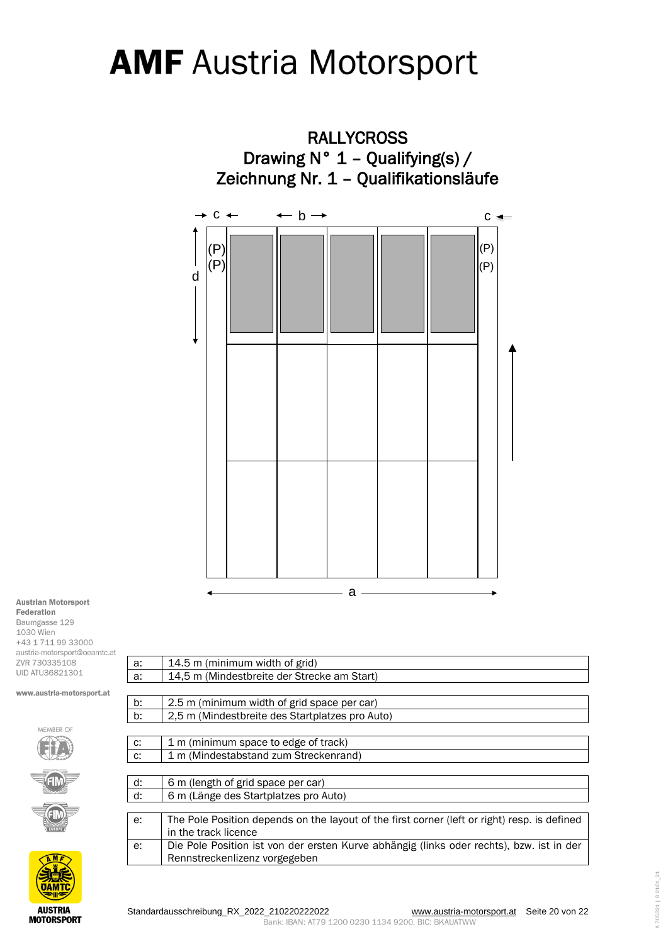

**Austrian Motorsport** Federation Baumgasse 129 1030 Wien

+43 1 711 99 33000 austria-motorsport@oeamtc.at ZVR 730335108 UID ATU36821301





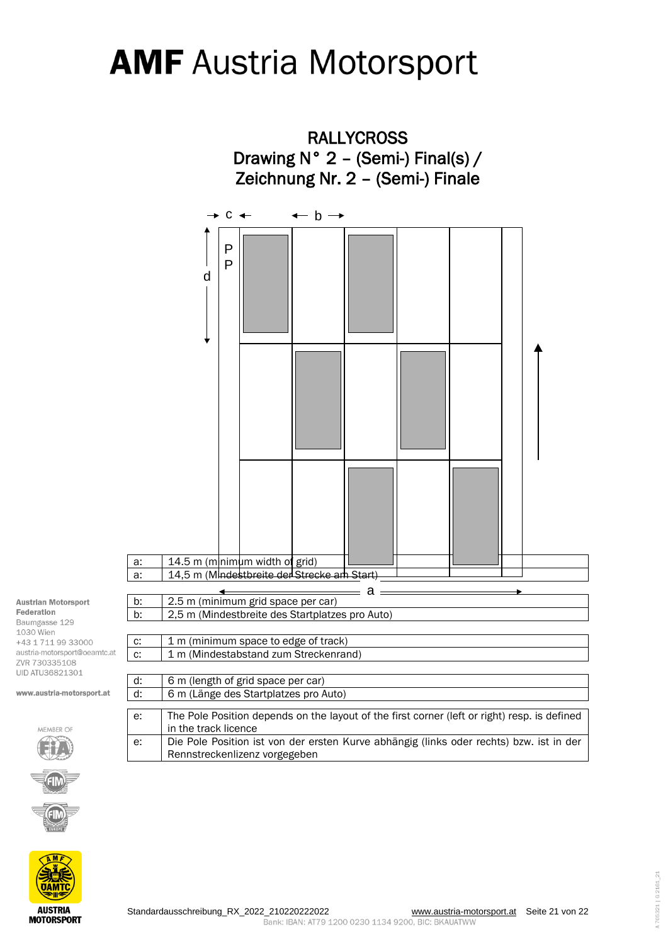

#### **Austrian Motorsport** Federation Baumgasse 129 1030 Wien +43 1 711 99 33000 austria-motorsport@oeamtc.at ZVR 730335108

UID ATU36821301